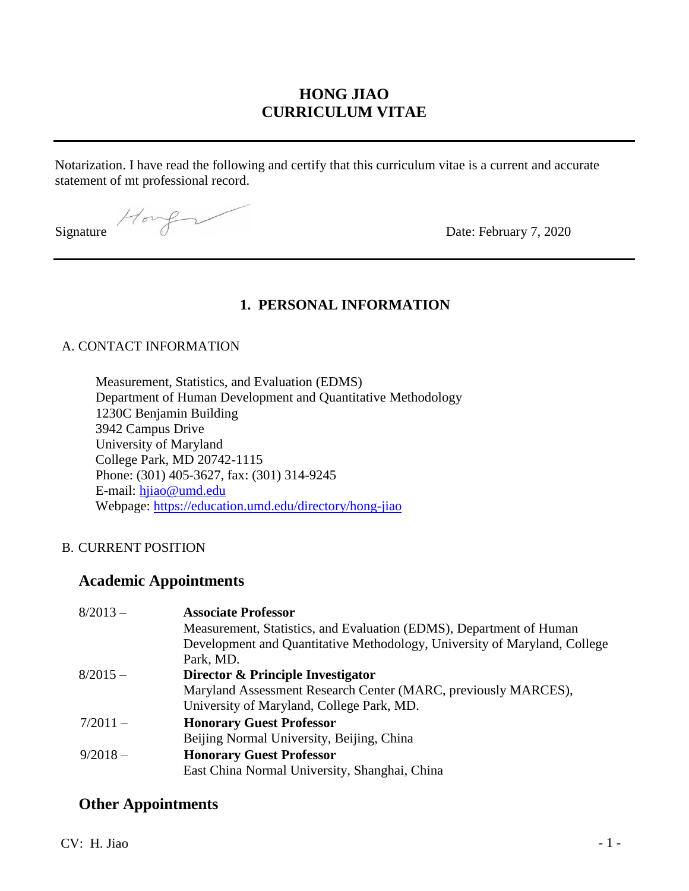## **HONG JIAO CURRICULUM VITAE**

Notarization. I have read the following and certify that this curriculum vitae is a current and accurate statement of mt professional record.

Signature  $\sqrt{6\pi\sqrt{g}}$  Date: February 7, 2020

### **1. PERSONAL INFORMATION**

#### A. CONTACT INFORMATION

Measurement, Statistics, and Evaluation (EDMS) Department of Human Development and Quantitative Methodology 1230C Benjamin Building 3942 Campus Drive University of Maryland College Park, MD 20742-1115 Phone: (301) 405-3627, fax: (301) 314-9245 E-mail: [hjiao@umd.edu](mailto:hjiao@umd.edu) Webpage:<https://education.umd.edu/directory/hong-jiao>

### B. CURRENT POSITION

### **Academic Appointments**

| $8/2013 -$ | <b>Associate Professor</b>                                                |
|------------|---------------------------------------------------------------------------|
|            | Measurement, Statistics, and Evaluation (EDMS), Department of Human       |
|            | Development and Quantitative Methodology, University of Maryland, College |
|            | Park, MD.                                                                 |
| $8/2015 -$ | Director & Principle Investigator                                         |
|            | Maryland Assessment Research Center (MARC, previously MARCES),            |
|            | University of Maryland, College Park, MD.                                 |
| $7/2011 -$ | <b>Honorary Guest Professor</b>                                           |
|            | Beijing Normal University, Beijing, China                                 |
| $9/2018 -$ | <b>Honorary Guest Professor</b>                                           |
|            | East China Normal University, Shanghai, China                             |

### **Other Appointments**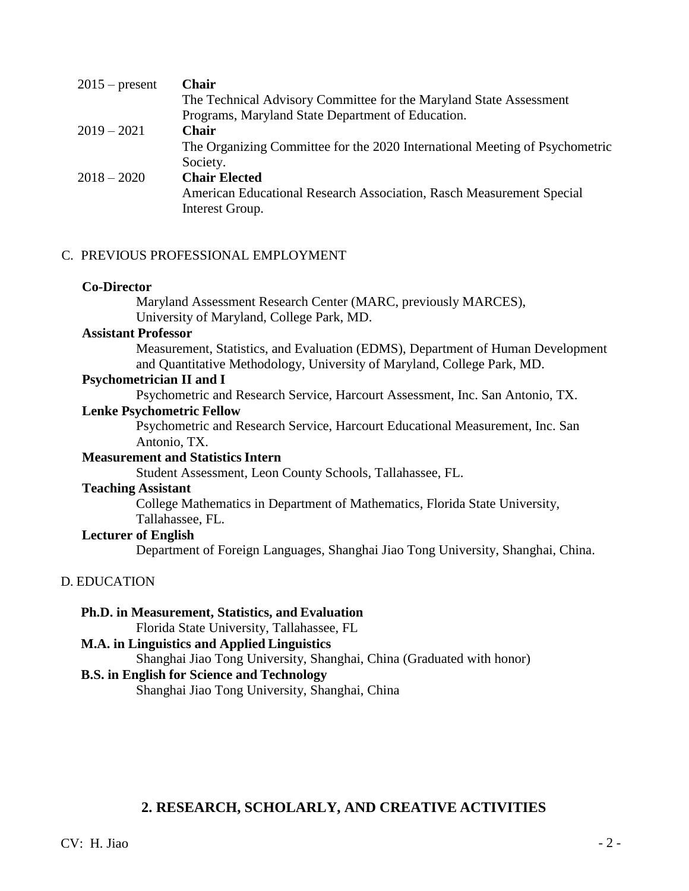| <b>Chair</b><br>$2015$ – present                                            |  |
|-----------------------------------------------------------------------------|--|
| The Technical Advisory Committee for the Maryland State Assessment          |  |
| Programs, Maryland State Department of Education.                           |  |
| $2019 - 2021$<br><b>Chair</b>                                               |  |
| The Organizing Committee for the 2020 International Meeting of Psychometric |  |
| Society.                                                                    |  |
| <b>Chair Elected</b><br>$2018 - 2020$                                       |  |
| American Educational Research Association, Rasch Measurement Special        |  |
| Interest Group.                                                             |  |

#### C. PREVIOUS PROFESSIONAL EMPLOYMENT

#### **Co-Director**

Maryland Assessment Research Center (MARC, previously MARCES), University of Maryland, College Park, MD.

#### **Assistant Professor**

Measurement, Statistics, and Evaluation (EDMS), Department of Human Development and Quantitative Methodology, University of Maryland, College Park, MD.

#### **Psychometrician II and I**

Psychometric and Research Service, Harcourt Assessment, Inc. San Antonio, TX.

#### **Lenke Psychometric Fellow**

Psychometric and Research Service, Harcourt Educational Measurement, Inc. San Antonio, TX.

#### **Measurement and Statistics Intern**

Student Assessment, Leon County Schools, Tallahassee, FL.

#### **Teaching Assistant**

College Mathematics in Department of Mathematics, Florida State University, Tallahassee, FL.

# **Lecturer of English**

Department of Foreign Languages, Shanghai Jiao Tong University, Shanghai, China.

### D. EDUCATION

### **Ph.D. in Measurement, Statistics, and Evaluation**

Florida State University, Tallahassee, FL

### **M.A. in Linguistics and Applied Linguistics**

Shanghai Jiao Tong University, Shanghai, China (Graduated with honor)

### **B.S. in English for Science and Technology**

Shanghai Jiao Tong University, Shanghai, China

### **2. RESEARCH, SCHOLARLY, AND CREATIVE ACTIVITIES**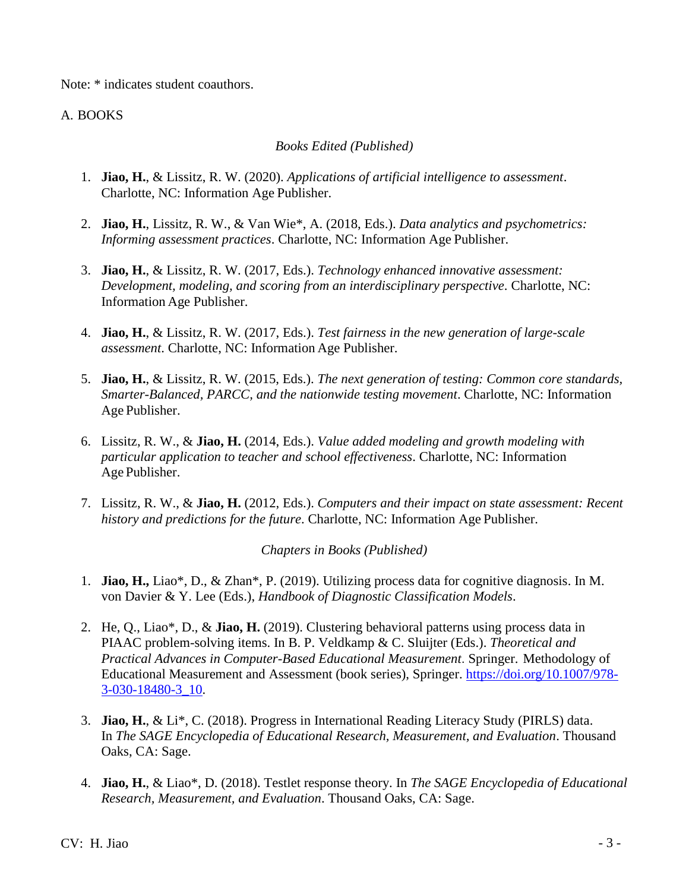Note: \* indicates student coauthors.

### A. BOOKS

#### *Books Edited (Published)*

- 1. **Jiao, H.**, & Lissitz, R. W. (2020). *Applications of artificial intelligence to assessment*. Charlotte, NC: Information Age Publisher.
- 2. **Jiao, H.**, Lissitz, R. W., & Van Wie\*, A. (2018, Eds.). *Data analytics and psychometrics: Informing assessment practices*. Charlotte, NC: Information Age Publisher.
- 3. **Jiao, H.**, & Lissitz, R. W. (2017, Eds.). *Technology enhanced innovative assessment: Development, modeling, and scoring from an interdisciplinary perspective*. Charlotte, NC: Information Age Publisher.
- 4. **Jiao, H.**, & Lissitz, R. W. (2017, Eds.). *Test fairness in the new generation of large-scale assessment*. Charlotte, NC: Information Age Publisher.
- 5. **Jiao, H.**, & Lissitz, R. W. (2015, Eds.). *The next generation of testing: Common core standards, Smarter-Balanced, PARCC, and the nationwide testing movement*. Charlotte, NC: Information Age Publisher.
- 6. Lissitz, R. W., & **Jiao, H.** (2014, Eds.). *Value added modeling and growth modeling with particular application to teacher and school effectiveness*. Charlotte, NC: Information Age Publisher.
- 7. Lissitz, R. W., & **Jiao, H.** (2012, Eds.). *Computers and their impact on state assessment: Recent history and predictions for the future*. Charlotte, NC: Information Age Publisher.

*Chapters in Books (Published)*

- 1. **Jiao, H.,** Liao\*, D., & Zhan\*, P. (2019). Utilizing process data for cognitive diagnosis. In M. von Davier & Y. Lee (Eds.), *Handbook of Diagnostic Classification Models*.
- 2. He, Q., Liao\*, D., & **Jiao, H.** (2019). Clustering behavioral patterns using process data in PIAAC problem-solving items. In B. P. Veldkamp & C. Sluijter (Eds.). *Theoretical and Practical Advances in Computer-Based Educational Measurement*. Springer. Methodology of Educational Measurement and Assessment (book series), Springer. [https://doi.org/10.1007/978-](https://doi.org/10.1007/978-3-030-18480-3_10) [3-030-18480-3\\_10.](https://doi.org/10.1007/978-3-030-18480-3_10)
- 3. **Jiao, H.**, & Li\*, C. (2018). Progress in International Reading Literacy Study (PIRLS) data. In *The SAGE Encyclopedia of Educational Research, Measurement, and Evaluation*. Thousand Oaks, CA: Sage.
- 4. **Jiao, H.**, & Liao\*, D. (2018). Testlet response theory. In *The SAGE Encyclopedia of Educational Research, Measurement, and Evaluation*. Thousand Oaks, CA: Sage.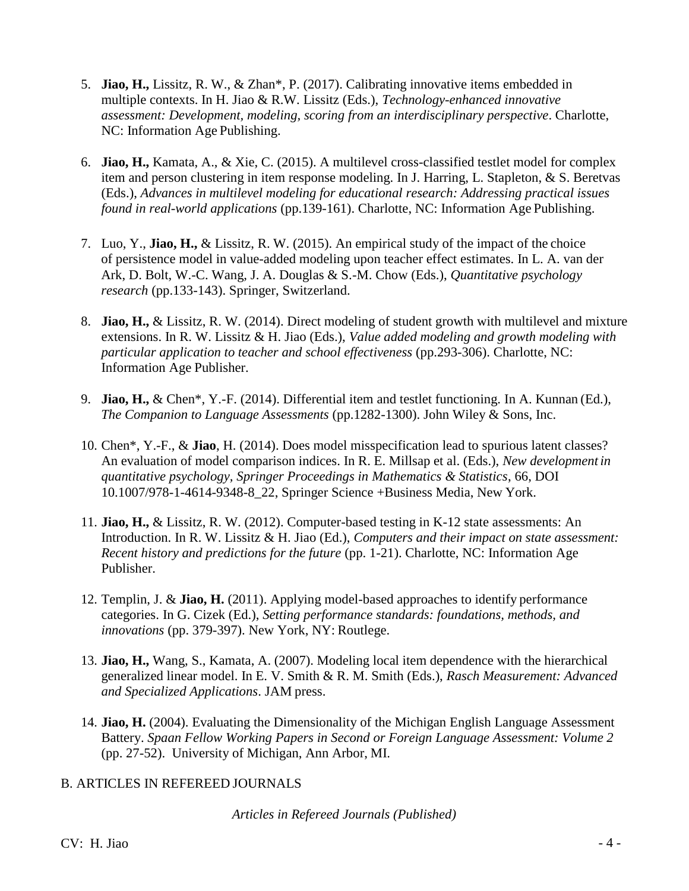- 5. **Jiao, H.,** Lissitz, R. W., & Zhan\*, P. (2017). Calibrating innovative items embedded in multiple contexts. In H. Jiao & R.W. Lissitz (Eds.), *Technology-enhanced innovative assessment: Development, modeling, scoring from an interdisciplinary perspective*. Charlotte, NC: Information Age Publishing.
- 6. **Jiao, H.,** Kamata, A., & Xie, C. (2015). A multilevel cross-classified testlet model for complex item and person clustering in item response modeling. In J. Harring, L. Stapleton, & S. Beretvas (Eds.), *Advances in multilevel modeling for educational research: Addressing practical issues found in real-world applications* (pp.139-161). Charlotte, NC: Information Age Publishing.
- 7. Luo, Y., **Jiao, H.,** & Lissitz, R. W. (2015). An empirical study of the impact of the choice of persistence model in value-added modeling upon teacher effect estimates. In L. A. van der Ark, D. Bolt, W.-C. Wang, J. A. Douglas & S.-M. Chow (Eds.), *Quantitative psychology research* (pp.133-143). Springer, Switzerland.
- 8. **Jiao, H.,** & Lissitz, R. W. (2014). Direct modeling of student growth with multilevel and mixture extensions. In R. W. Lissitz & H. Jiao (Eds.), *Value added modeling and growth modeling with particular application to teacher and school effectiveness (pp.293-306). Charlotte, NC:* Information Age Publisher.
- 9. **Jiao, H.,** & Chen\*, Y.-F. (2014). Differential item and testlet functioning. In A. Kunnan (Ed.), *The Companion to Language Assessments* (pp.1282-1300). John Wiley & Sons, Inc.
- 10. Chen\*, Y.-F., & **Jiao**, H. (2014). Does model misspecification lead to spurious latent classes? An evaluation of model comparison indices. In R. E. Millsap et al. (Eds.), *New development in quantitative psychology, Springer Proceedings in Mathematics & Statistics*, 66, DOI 10.1007/978-1-4614-9348-8\_22, Springer Science +Business Media, New York.
- 11. **Jiao, H.,** & Lissitz, R. W. (2012). Computer-based testing in K-12 state assessments: An Introduction. In R. W. Lissitz & H. Jiao (Ed.), *Computers and their impact on state assessment: Recent history and predictions for the future* (pp. 1-21). Charlotte, NC: Information Age Publisher.
- 12. Templin, J. & **Jiao, H.** (2011). Applying model-based approaches to identify performance categories. In G. Cizek (Ed.), *Setting performance standards: foundations, methods, and innovations* (pp. 379-397). New York, NY: Routlege.
- 13. **Jiao, H.,** Wang, S., Kamata, A. (2007). Modeling local item dependence with the hierarchical generalized linear model. In E. V. Smith & R. M. Smith (Eds.), *Rasch Measurement: Advanced and Specialized Applications*. JAM press.
- 14. **Jiao, H.** (2004). Evaluating the Dimensionality of the Michigan English Language Assessment Battery. *Spaan Fellow Working Papers in Second or Foreign Language Assessment: Volume 2*  (pp. 27-52). University of Michigan, Ann Arbor, MI.

### B. ARTICLES IN REFEREED JOURNALS

*Articles in Refereed Journals (Published)*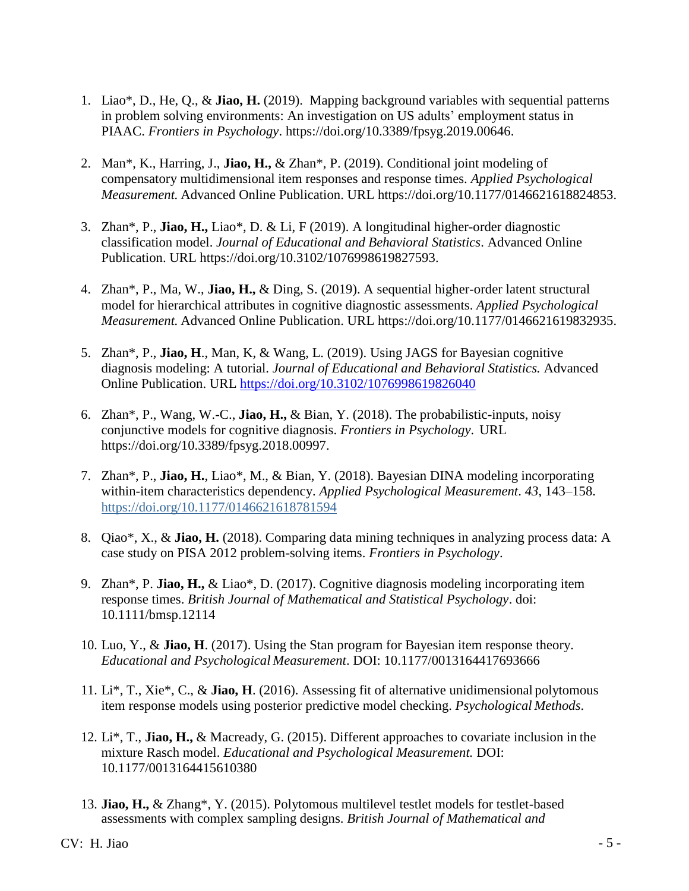- 1. Liao\*, D., He, Q., & **Jiao, H.** (2019). Mapping background variables with sequential patterns in problem solving environments: An investigation on US adults' employment status in PIAAC. *Frontiers in Psychology*. [https://doi.org/10.3389/fpsyg.2019.00646.](https://doi.org/10.3389/fpsyg.2019.00646)
- 2. Man\*, K., Harring, J., **Jiao, H.,** & Zhan\*, P. (2019). Conditional joint modeling of compensatory multidimensional item responses and response times. *Applied Psychological Measurement.* Advanced Online Publication. URL [https://doi.org/10.1177/0146621618824853.](https://doi.org/10.1177/0146621618824853)
- 3. Zhan\*, P., **Jiao, H.,** Liao\*, D. & Li, F (2019). A longitudinal higher-order diagnostic classification model. *Journal of Educational and Behavioral Statistics*. Advanced Online Publication. URL [https://doi.org/10.3102/1076998619827593.](https://doi.org/10.3102/1076998619827593)
- 4. Zhan\*, P., Ma, W., **Jiao, H.,** & Ding, S. (2019). A sequential higher-order latent structural model for hierarchical attributes in cognitive diagnostic assessments. *Applied Psychological Measurement.* Advanced Online Publication. URL [https://doi.org/10.1177/0146621619832935.](https://doi.org/10.1177/0146621619832935)
- 5. Zhan\*, P., **Jiao, H**., Man, K, & Wang, L. (2019). Using JAGS for Bayesian cognitive diagnosis modeling: A tutorial. *Journal of Educational and Behavioral Statistics.* Advanced Online Publication. URL<https://doi.org/10.3102/1076998619826040>
- 6. Zhan\*, P., Wang, W.-C., **Jiao, H.,** & Bian, Y. (2018). The probabilistic-inputs, noisy conjunctive models for cognitive diagnosis. *Frontiers in Psychology*. URL [https://doi.org/10.3389/fpsyg.2018.00997.](https://doi.org/10.3389/fpsyg.2018.00997)
- 7. Zhan\*, P., **Jiao, H.**, Liao\*, M., & Bian, Y. (2018). Bayesian DINA modeling incorporating within-item characteristics dependency. *Applied Psychological Measurement*. *43*, 143–158. [https://doi.org/10.1177/0146621618781594](https://doi.org/10.1177%2F0146621618781594)
- 8. Qiao\*, X., & **Jiao, H.** (2018). Comparing data mining techniques in analyzing process data: A case study on PISA 2012 problem-solving items. *Frontiers in Psychology*.
- 9. Zhan\*, P. **Jiao, H.,** & Liao\*, D. (2017). Cognitive diagnosis modeling incorporating item response times. *British Journal of Mathematical and Statistical Psychology*. doi: 10.1111/bmsp.12114
- 10. Luo, Y., & **Jiao, H**. (2017). Using the Stan program for Bayesian item response theory. *Educational and Psychological Measurement*. DOI: 10.1177/0013164417693666
- 11. Li\*, T., Xie\*, C., & **Jiao, H**. (2016). Assessing fit of alternative unidimensional polytomous item response models using posterior predictive model checking. *Psychological Methods*.
- 12. Li\*, T., **Jiao, H.,** & Macready, G. (2015). Different approaches to covariate inclusion in the mixture Rasch model. *Educational and Psychological Measurement.* DOI: 10.1177/0013164415610380
- 13. **Jiao, H.,** & Zhang\*, Y. (2015). Polytomous multilevel testlet models for testlet-based assessments with complex sampling designs. *British Journal of Mathematical and*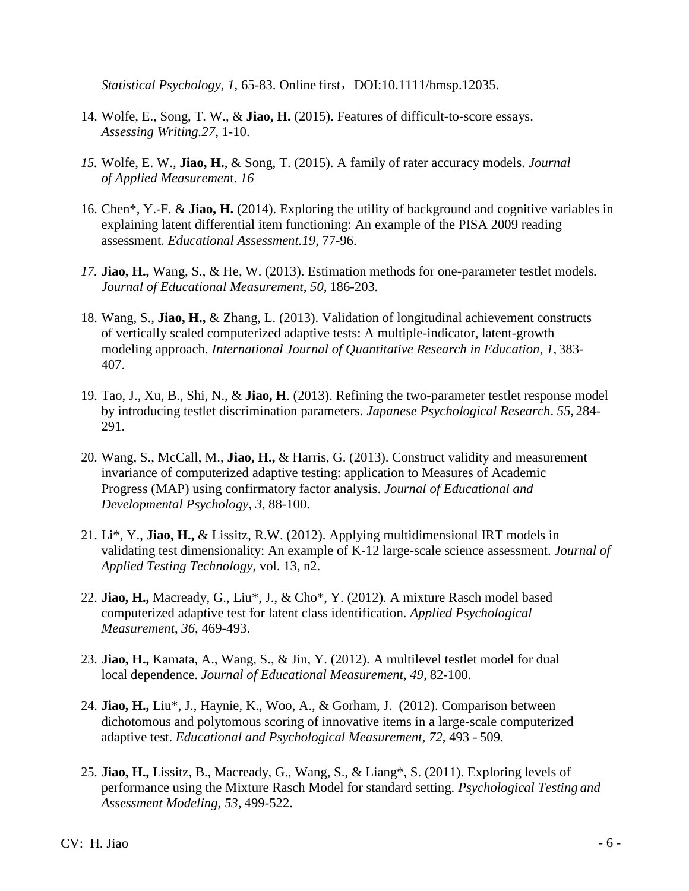*Statistical Psychology, 1, 65-83. Online first, DOI:10.1111/bmsp.12035.* 

- 14. Wolfe, E., Song, T. W., & **Jiao, H.** (2015). Features of difficult-to-score essays. *Assessing Writing.27*, 1-10.
- *15.* Wolfe, E. W., **Jiao, H.**, & Song, T. (2015). A family of rater accuracy models. *Journal of Applied Measuremen*t. *16*
- 16. Chen\*, Y.-F. & **Jiao, H.** (2014). Exploring the utility of background and cognitive variables in explaining latent differential item functioning: An example of the PISA 2009 reading assessment*. Educational Assessment.19*, 77-96.
- *17.* **Jiao, H.,** Wang, S., & He, W. (2013). Estimation methods for one-parameter testlet models*. Journal of Educational Measurement*, *50*, 186-203*.*
- 18. Wang, S., **Jiao, H.,** & Zhang, L. (2013). Validation of longitudinal achievement constructs of vertically scaled computerized adaptive tests: A multiple-indicator, latent-growth modeling approach. *International Journal of Quantitative Research in Education*, *1*, 383- 407.
- 19. Tao, J., Xu, B., Shi, N., & **Jiao, H**. (2013). Refining the two-parameter testlet response model by introducing testlet discrimination parameters. *Japanese Psychological Research*. *55*, 284- 291.
- 20. Wang, S., McCall, M., **Jiao, H.,** & Harris, G. (2013). Construct validity and measurement invariance of computerized adaptive testing: application to Measures of Academic Progress (MAP) using confirmatory factor analysis. *Journal of Educational and Developmental Psychology*, *3*, 88-100.
- 21. Li\*, Y., **Jiao, H.,** & Lissitz, R.W. (2012). Applying multidimensional IRT models in validating test dimensionality: An example of K-12 large-scale science assessment. *Journal of Applied Testing Technology*, vol. 13, n2.
- 22. **Jiao, H.,** Macready, G., Liu\*, J., & Cho\*, Y. (2012). A mixture Rasch model based computerized adaptive test for latent class identification. *Applied Psychological Measurement*, *36*, 469-493.
- 23. **Jiao, H.,** Kamata, A., Wang, S., & Jin, Y. (2012). A multilevel testlet model for dual local dependence. *Journal of Educational Measurement, 49*, 82-100.
- 24. **Jiao, H.,** Liu\*, J., Haynie, K., Woo, A., & Gorham, J. (2012). Comparison between dichotomous and polytomous scoring of innovative items in a large-scale computerized adaptive test. *Educational and Psychological Measurement*, *72*, 493 - 509.
- 25. **Jiao, H.,** Lissitz, B., Macready, G., Wang, S., & Liang\*, S. (2011). Exploring levels of performance using the Mixture Rasch Model for standard setting. *Psychological Testing and Assessment Modeling*, *53*, 499-522.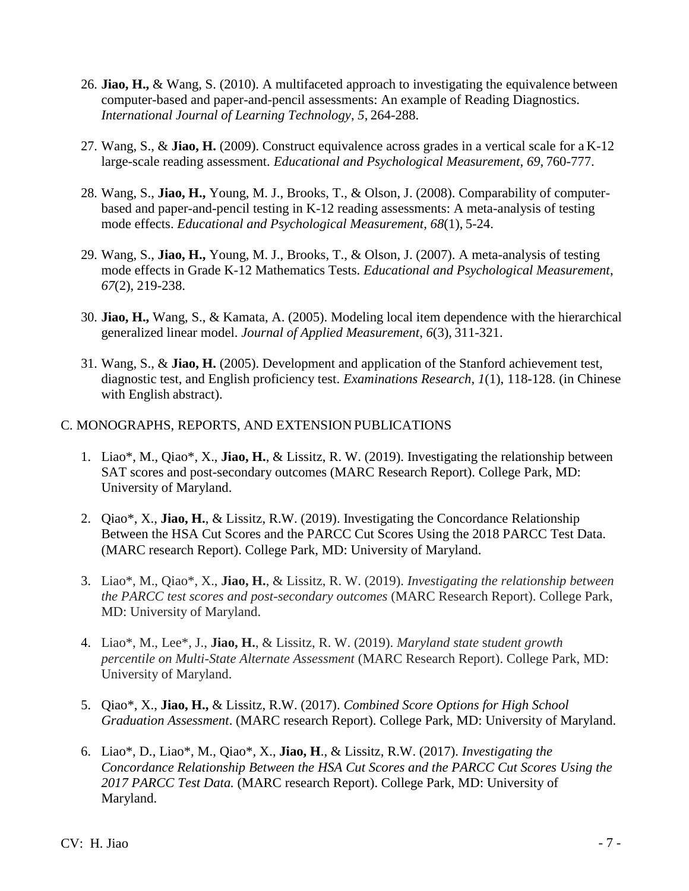- 26. **Jiao, H.,** & Wang, S. (2010). A multifaceted approach to investigating the equivalence between computer-based and paper-and-pencil assessments: An example of Reading Diagnostics. *International Journal of Learning Technology*, *5*, 264-288.
- 27. Wang, S., & **Jiao, H.** (2009). Construct equivalence across grades in a vertical scale for a K-12 large-scale reading assessment. *Educational and Psychological Measurement*, *69*, 760-777.
- 28. Wang, S., **Jiao, H.,** Young, M. J., Brooks, T., & Olson, J. (2008). Comparability of computerbased and paper-and-pencil testing in K-12 reading assessments: A meta-analysis of testing mode effects. *Educational and Psychological Measurement*, *68*(1), 5-24.
- 29. Wang, S., **Jiao, H.,** Young, M. J., Brooks, T., & Olson, J. (2007). A meta-analysis of testing mode effects in Grade K-12 Mathematics Tests. *Educational and Psychological Measurement*, *67*(2), 219-238.
- 30. **Jiao, H.,** Wang, S., & Kamata, A. (2005). Modeling local item dependence with the hierarchical generalized linear model. *Journal of Applied Measurement*, *6*(3), 311-321.
- 31. Wang, S., & **Jiao, H.** (2005). Development and application of the Stanford achievement test, diagnostic test, and English proficiency test. *Examinations Research*, *1*(1), 118-128. (in Chinese with English abstract).

### C. MONOGRAPHS, REPORTS, AND EXTENSION PUBLICATIONS

- 1. Liao\*, M., Qiao\*, X., **Jiao, H.**, & Lissitz, R. W. (2019). Investigating the relationship between SAT scores and post-secondary outcomes (MARC Research Report). College Park, MD: University of Maryland.
- 2. Qiao\*, X., **Jiao, H.**, & Lissitz, R.W. (2019). Investigating the Concordance Relationship Between the HSA Cut Scores and the PARCC Cut Scores Using the 2018 PARCC Test Data. (MARC research Report). College Park, MD: University of Maryland.
- 3. Liao\*, M., Qiao\*, X., **Jiao, H.**, & Lissitz, R. W. (2019). *Investigating the relationship between the PARCC test scores and post-secondary outcomes* (MARC Research Report). College Park, MD: University of Maryland.
- 4. Liao\*, M., Lee\*, J., **Jiao, H.**, & Lissitz, R. W. (2019). *Maryland state* s*tudent growth percentile on Multi-State Alternate Assessment* (MARC Research Report). College Park, MD: University of Maryland.
- 5. Qiao\*, X., **Jiao, H.,** & Lissitz, R.W. (2017). *Combined Score Options for High School Graduation Assessment*. (MARC research Report). College Park, MD: University of Maryland.
- 6. Liao\*, D., Liao\*, M., Qiao\*, X., **Jiao, H**., & Lissitz, R.W. (2017). *Investigating the Concordance Relationship Between the HSA Cut Scores and the PARCC Cut Scores Using the 2017 PARCC Test Data.* (MARC research Report). College Park, MD: University of Maryland.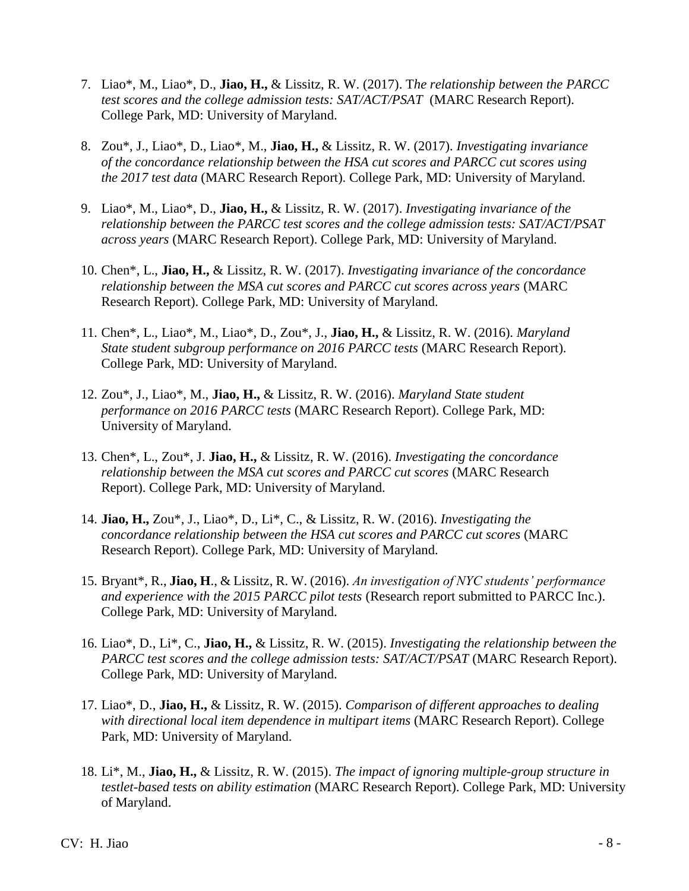- 7. Liao\*, M., Liao\*, D., **Jiao, H.,** & Lissitz, R. W. (2017). T*he relationship between the PARCC test scores and the college admission tests: SAT/ACT/PSAT* (MARC Research Report). College Park, MD: University of Maryland.
- 8. Zou\*, J., Liao\*, D., Liao\*, M., **Jiao, H.,** & Lissitz, R. W. (2017). *Investigating invariance of the concordance relationship between the HSA cut scores and PARCC cut scores using the 2017 test data* (MARC Research Report). College Park, MD: University of Maryland.
- 9. Liao\*, M., Liao\*, D., **Jiao, H.,** & Lissitz, R. W. (2017). *Investigating invariance of the relationship between the PARCC test scores and the college admission tests: SAT/ACT/PSAT across years* (MARC Research Report). College Park, MD: University of Maryland.
- 10. Chen\*, L., **Jiao, H.,** & Lissitz, R. W. (2017). *Investigating invariance of the concordance relationship between the MSA cut scores and PARCC cut scores across years* (MARC Research Report). College Park, MD: University of Maryland.
- 11. Chen\*, L., Liao\*, M., Liao\*, D., Zou\*, J., **Jiao, H.,** & Lissitz, R. W. (2016). *Maryland*  State student subgroup performance on 2016 PARCC tests (MARC Research Report). College Park, MD: University of Maryland.
- 12. Zou\*, J., Liao\*, M., **Jiao, H.,** & Lissitz, R. W. (2016). *Maryland State student performance on 2016 PARCC tests* (MARC Research Report). College Park, MD: University of Maryland.
- 13. Chen\*, L., Zou\*, J. **Jiao, H.,** & Lissitz, R. W. (2016). *Investigating the concordance relationship between the MSA cut scores and PARCC cut scores* (MARC Research Report). College Park, MD: University of Maryland.
- 14. **Jiao, H.,** Zou\*, J., Liao\*, D., Li\*, C., & Lissitz, R. W. (2016). *Investigating the concordance relationship between the HSA cut scores and PARCC cut scores* (MARC Research Report). College Park, MD: University of Maryland.
- 15. Bryant\*, R., **Jiao, H**., & Lissitz, R. W. (2016). *An investigation of NYC students' performance and experience with the 2015 PARCC pilot tests* (Research report submitted to PARCC Inc.). College Park, MD: University of Maryland.
- 16. Liao\*, D., Li\*, C., **Jiao, H.,** & Lissitz, R. W. (2015). *Investigating the relationship between the PARCC test scores and the college admission tests: SAT/ACT/PSAT* (MARC Research Report). College Park, MD: University of Maryland.
- 17. Liao\*, D., **Jiao, H.,** & Lissitz, R. W. (2015). *Comparison of different approaches to dealing with directional local item dependence in multipart items* (MARC Research Report). College Park, MD: University of Maryland.
- 18. Li\*, M., **Jiao, H.,** & Lissitz, R. W. (2015). *The impact of ignoring multiple-group structure in testlet-based tests on ability estimation* (MARC Research Report). College Park, MD: University of Maryland.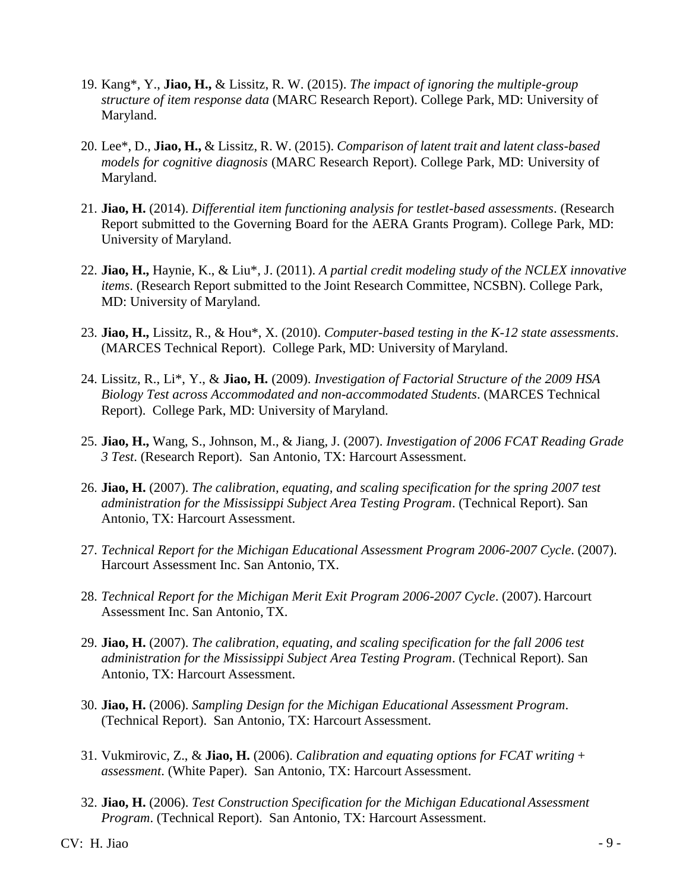- 19. Kang\*, Y., **Jiao, H.,** & Lissitz, R. W. (2015). *The impact of ignoring the multiple-group structure of item response data* (MARC Research Report). College Park, MD: University of Maryland.
- 20. Lee\*, D., **Jiao, H.,** & Lissitz, R. W. (2015). *Comparison of latent trait and latent class-based models for cognitive diagnosis* (MARC Research Report). College Park, MD: University of Maryland.
- 21. **Jiao, H.** (2014). *Differential item functioning analysis for testlet-based assessments*. (Research Report submitted to the Governing Board for the AERA Grants Program). College Park, MD: University of Maryland.
- 22. **Jiao, H.,** Haynie, K., & Liu\*, J. (2011). *A partial credit modeling study of the NCLEX innovative items*. (Research Report submitted to the Joint Research Committee, NCSBN). College Park, MD: University of Maryland.
- 23. **Jiao, H.,** Lissitz, R., & Hou\*, X. (2010). *Computer-based testing in the K-12 state assessments*. (MARCES Technical Report). College Park, MD: University of Maryland.
- 24. Lissitz, R., Li\*, Y., & **Jiao, H.** (2009). *Investigation of Factorial Structure of the 2009 HSA Biology Test across Accommodated and non-accommodated Students*. (MARCES Technical Report). College Park, MD: University of Maryland.
- 25. **Jiao, H.,** Wang, S., Johnson, M., & Jiang, J. (2007). *Investigation of 2006 FCAT Reading Grade 3 Test*. (Research Report). San Antonio, TX: Harcourt Assessment.
- 26. **Jiao, H.** (2007). *The calibration, equating, and scaling specification for the spring 2007 test administration for the Mississippi Subject Area Testing Program*. (Technical Report). San Antonio, TX: Harcourt Assessment.
- 27. *Technical Report for the Michigan Educational Assessment Program 2006-2007 Cycle*. (2007). Harcourt Assessment Inc. San Antonio, TX.
- 28. *Technical Report for the Michigan Merit Exit Program 2006-2007 Cycle*. (2007). Harcourt Assessment Inc. San Antonio, TX.
- 29. **Jiao, H.** (2007). *The calibration, equating, and scaling specification for the fall 2006 test administration for the Mississippi Subject Area Testing Program*. (Technical Report). San Antonio, TX: Harcourt Assessment.
- 30. **Jiao, H.** (2006). *Sampling Design for the Michigan Educational Assessment Program*. (Technical Report). San Antonio, TX: Harcourt Assessment.
- 31. Vukmirovic, Z., & **Jiao, H.** (2006). *Calibration and equating options for FCAT writing + assessment*. (White Paper). San Antonio, TX: Harcourt Assessment.
- 32. **Jiao, H.** (2006). *Test Construction Specification for the Michigan Educational Assessment Program*. (Technical Report). San Antonio, TX: Harcourt Assessment.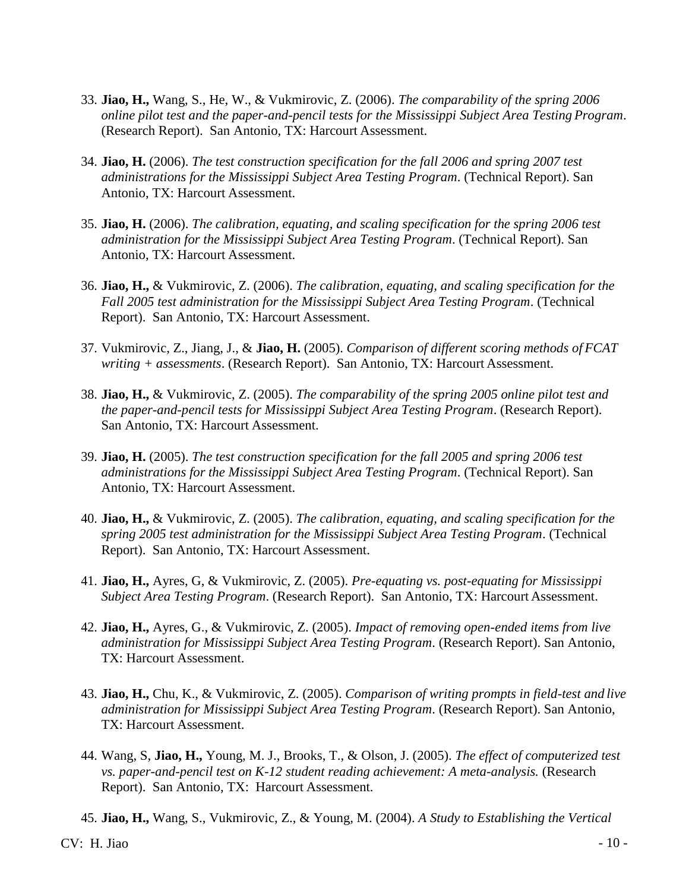- 33. **Jiao, H.,** Wang, S., He, W., & Vukmirovic, Z. (2006). *The comparability of the spring 2006 online pilot test and the paper-and-pencil tests for the Mississippi Subject Area Testing Program*. (Research Report). San Antonio, TX: Harcourt Assessment.
- 34. **Jiao, H.** (2006). *The test construction specification for the fall 2006 and spring 2007 test administrations for the Mississippi Subject Area Testing Program*. (Technical Report). San Antonio, TX: Harcourt Assessment.
- 35. **Jiao, H.** (2006). *The calibration, equating, and scaling specification for the spring 2006 test administration for the Mississippi Subject Area Testing Program*. (Technical Report). San Antonio, TX: Harcourt Assessment.
- 36. **Jiao, H.,** & Vukmirovic, Z. (2006). *The calibration, equating, and scaling specification for the Fall 2005 test administration for the Mississippi Subject Area Testing Program*. (Technical Report). San Antonio, TX: Harcourt Assessment.
- 37. Vukmirovic, Z., Jiang, J., & **Jiao, H.** (2005). *Comparison of different scoring methods of FCAT writing + assessments*. (Research Report). San Antonio, TX: Harcourt Assessment.
- 38. **Jiao, H.,** & Vukmirovic, Z. (2005). *The comparability of the spring 2005 online pilot test and the paper-and-pencil tests for Mississippi Subject Area Testing Program*. (Research Report). San Antonio, TX: Harcourt Assessment.
- 39. **Jiao, H.** (2005). *The test construction specification for the fall 2005 and spring 2006 test administrations for the Mississippi Subject Area Testing Program*. (Technical Report). San Antonio, TX: Harcourt Assessment.
- 40. **Jiao, H.,** & Vukmirovic, Z. (2005). *The calibration, equating, and scaling specification for the spring 2005 test administration for the Mississippi Subject Area Testing Program*. (Technical Report). San Antonio, TX: Harcourt Assessment.
- 41. **Jiao, H.,** Ayres, G, & Vukmirovic, Z. (2005). *Pre-equating vs. post-equating for Mississippi Subject Area Testing Program*. (Research Report). San Antonio, TX: Harcourt Assessment.
- 42. **Jiao, H.,** Ayres, G., & Vukmirovic, Z. (2005). *Impact of removing open-ended items from live administration for Mississippi Subject Area Testing Program*. (Research Report). San Antonio, TX: Harcourt Assessment.
- 43. **Jiao, H.,** Chu, K., & Vukmirovic, Z. (2005). *Comparison of writing prompts in field-test and live administration for Mississippi Subject Area Testing Program*. (Research Report). San Antonio, TX: Harcourt Assessment.
- 44. Wang, S, **Jiao, H.,** Young, M. J., Brooks, T., & Olson, J. (2005). *The effect of computerized test vs. paper-and-pencil test on K-12 student reading achievement: A meta-analysis.* (Research Report). San Antonio, TX: Harcourt Assessment.
- 45. **Jiao, H.,** Wang, S., Vukmirovic, Z., & Young, M. (2004). *A Study to Establishing the Vertical*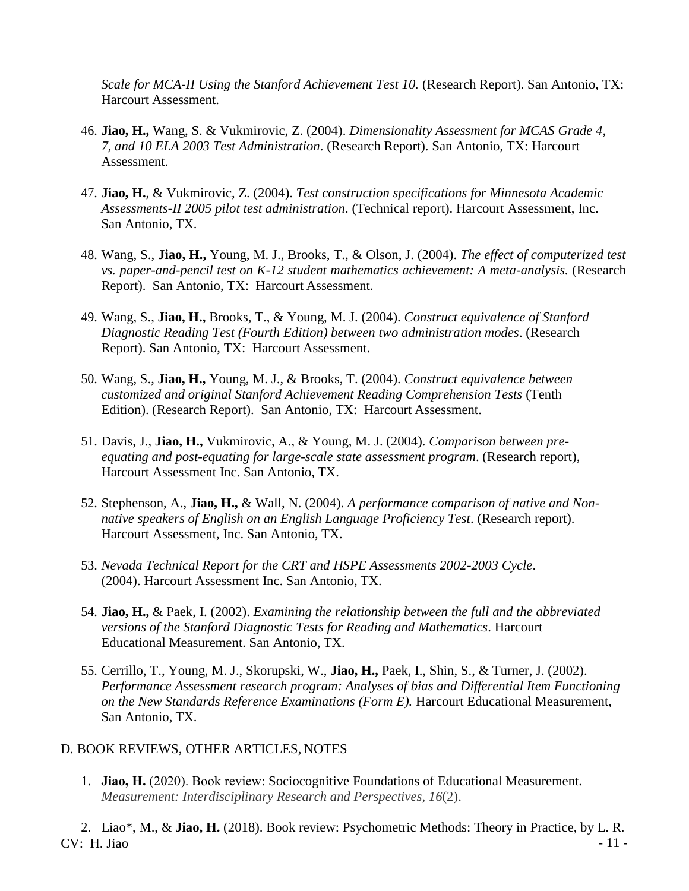*Scale for MCA-II Using the Stanford Achievement Test 10.* (Research Report). San Antonio, TX: Harcourt Assessment.

- 46. **Jiao, H.,** Wang, S. & Vukmirovic, Z. (2004). *Dimensionality Assessment for MCAS Grade 4, 7, and 10 ELA 2003 Test Administration*. (Research Report). San Antonio, TX: Harcourt Assessment.
- 47. **Jiao, H.**, & Vukmirovic, Z. (2004). *Test construction specifications for Minnesota Academic Assessments-II 2005 pilot test administration*. (Technical report). Harcourt Assessment, Inc. San Antonio, TX.
- 48. Wang, S., **Jiao, H.,** Young, M. J., Brooks, T., & Olson, J. (2004). *The effect of computerized test vs. paper-and-pencil test on K-12 student mathematics achievement: A meta-analysis.* (Research Report). San Antonio, TX: Harcourt Assessment.
- 49. Wang, S., **Jiao, H.,** Brooks, T., & Young, M. J. (2004). *Construct equivalence of Stanford Diagnostic Reading Test (Fourth Edition) between two administration modes*. (Research Report). San Antonio, TX: Harcourt Assessment.
- 50. Wang, S., **Jiao, H.,** Young, M. J., & Brooks, T. (2004). *Construct equivalence between customized and original Stanford Achievement Reading Comprehension Tests* (Tenth Edition). (Research Report). San Antonio, TX: Harcourt Assessment.
- 51. Davis, J., **Jiao, H.,** Vukmirovic, A., & Young, M. J. (2004). *Comparison between preequating and post-equating for large-scale state assessment program*. (Research report), Harcourt Assessment Inc. San Antonio, TX.
- 52. Stephenson, A., **Jiao, H.,** & Wall, N. (2004). *A performance comparison of native and Nonnative speakers of English on an English Language Proficiency Test*. (Research report). Harcourt Assessment, Inc. San Antonio, TX.
- 53. *Nevada Technical Report for the CRT and HSPE Assessments 2002-2003 Cycle*. (2004). Harcourt Assessment Inc. San Antonio, TX.
- 54. **Jiao, H.,** & Paek, I. (2002). *Examining the relationship between the full and the abbreviated versions of the Stanford Diagnostic Tests for Reading and Mathematics*. Harcourt Educational Measurement. San Antonio, TX.
- 55. Cerrillo, T., Young, M. J., Skorupski, W., **Jiao, H.,** Paek, I., Shin, S., & Turner, J. (2002). *Performance Assessment research program: Analyses of bias and Differential Item Functioning on the New Standards Reference Examinations (Form E).* Harcourt Educational Measurement, San Antonio, TX.

### D. BOOK REVIEWS, OTHER ARTICLES, NOTES

1. **Jiao, H.** (2020). Book review: Sociocognitive Foundations of Educational Measurement. *Measurement: Interdisciplinary Research and Perspectives, 16*(2).

 $CV: H. Jiao$  - 11 -2. Liao\*, M., & **Jiao, H.** (2018). Book review: Psychometric Methods: Theory in Practice, by L. R.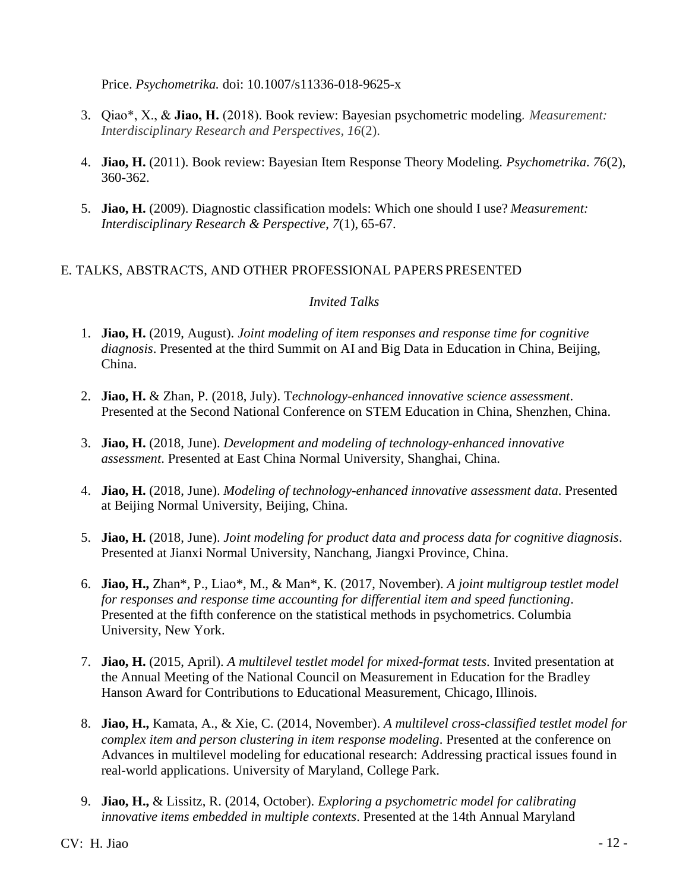Price. *Psychometrika.* doi: 10.1007/s11336-018-9625-x

- 3. Qiao\*, X., & **Jiao, H.** (2018). Book review: Bayesian psychometric modeling*. Measurement: Interdisciplinary Research and Perspectives, 16*(2).
- 4. **Jiao, H.** (2011). Book review: Bayesian Item Response Theory Modeling. *Psychometrika*. *76*(2), 360-362.
- 5. **Jiao, H.** (2009). Diagnostic classification models: Which one should I use? *Measurement: Interdisciplinary Research & Perspective*, *7*(1), 65-67.

### E. TALKS, ABSTRACTS, AND OTHER PROFESSIONAL PAPERS PRESENTED

### *Invited Talks*

- 1. **Jiao, H.** (2019, August). *Joint modeling of item responses and response time for cognitive diagnosis*. Presented at the third Summit on AI and Big Data in Education in China, Beijing, China.
- 2. **Jiao, H.** & Zhan, P. (2018, July). T*echnology-enhanced innovative science assessment*. Presented at the Second National Conference on STEM Education in China, Shenzhen, China.
- 3. **Jiao, H.** (2018, June). *Development and modeling of technology-enhanced innovative assessment*. Presented at East China Normal University, Shanghai, China.
- 4. **Jiao, H.** (2018, June). *Modeling of technology-enhanced innovative assessment data*. Presented at Beijing Normal University, Beijing, China.
- 5. **Jiao, H.** (2018, June). *Joint modeling for product data and process data for cognitive diagnosis*. Presented at Jianxi Normal University, Nanchang, Jiangxi Province, China.
- 6. **Jiao, H.,** Zhan\*, P., Liao\*, M., & Man\*, K. (2017, November). *A joint multigroup testlet model for responses and response time accounting for differential item and speed functioning*. Presented at the fifth conference on the statistical methods in psychometrics. Columbia University, New York.
- 7. **Jiao, H.** (2015, April). *A multilevel testlet model for mixed-format tests*. Invited presentation at the Annual Meeting of the National Council on Measurement in Education for the Bradley Hanson Award for Contributions to Educational Measurement, Chicago, Illinois.
- 8. **Jiao, H.,** Kamata, A., & Xie, C. (2014, November). *A multilevel cross-classified testlet model for complex item and person clustering in item response modeling*. Presented at the conference on Advances in multilevel modeling for educational research: Addressing practical issues found in real-world applications. University of Maryland, College Park.
- 9. **Jiao, H.,** & Lissitz, R. (2014, October). *Exploring a psychometric model for calibrating innovative items embedded in multiple contexts*. Presented at the 14th Annual Maryland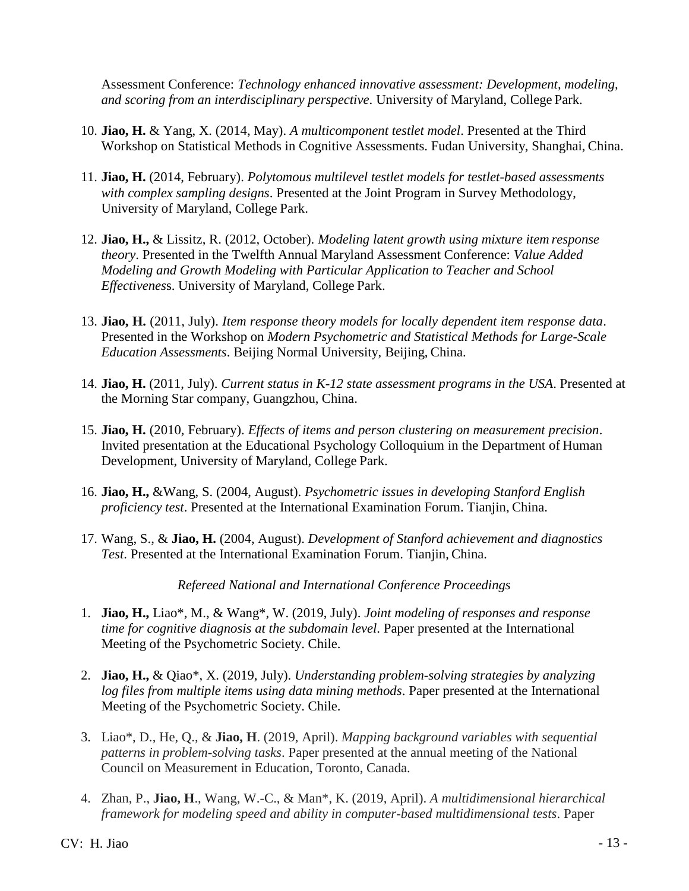Assessment Conference: *Technology enhanced innovative assessment: Development, modeling, and scoring from an interdisciplinary perspective*. University of Maryland, College Park.

- 10. **Jiao, H.** & Yang, X. (2014, May). *A multicomponent testlet model*. Presented at the Third Workshop on Statistical Methods in Cognitive Assessments. Fudan University, Shanghai, China.
- 11. **Jiao, H.** (2014, February). *Polytomous multilevel testlet models for testlet-based assessments with complex sampling designs*. Presented at the Joint Program in Survey Methodology, University of Maryland, College Park.
- 12. **Jiao, H.,** & Lissitz, R. (2012, October). *Modeling latent growth using mixture item response theory*. Presented in the Twelfth Annual Maryland Assessment Conference: *Value Added Modeling and Growth Modeling with Particular Application to Teacher and School Effectivenes*s. University of Maryland, College Park.
- 13. **Jiao, H.** (2011, July). *Item response theory models for locally dependent item response data*. Presented in the Workshop on *Modern Psychometric and Statistical Methods for Large-Scale Education Assessments*. Beijing Normal University, Beijing, China.
- 14. **Jiao, H.** (2011, July). *Current status in K-12 state assessment programs in the USA*. Presented at the Morning Star company, Guangzhou, China.
- 15. **Jiao, H.** (2010, February). *Effects of items and person clustering on measurement precision*. Invited presentation at the Educational Psychology Colloquium in the Department of Human Development, University of Maryland, College Park.
- 16. **Jiao, H.,** &Wang, S. (2004, August). *Psychometric issues in developing Stanford English proficiency test*. Presented at the International Examination Forum. Tianjin, China.
- 17. Wang, S., & **Jiao, H.** (2004, August). *Development of Stanford achievement and diagnostics Test*. Presented at the International Examination Forum. Tianjin, China.

*Refereed National and International Conference Proceedings*

- 1. **Jiao, H.,** Liao\*, M., & Wang\*, W. (2019, July). *Joint modeling of responses and response time for cognitive diagnosis at the subdomain level*. Paper presented at the International Meeting of the Psychometric Society. Chile.
- 2. **Jiao, H.,** & Qiao\*, X. (2019, July). *Understanding problem-solving strategies by analyzing log files from multiple items using data mining methods*. Paper presented at the International Meeting of the Psychometric Society. Chile.
- 3. Liao\*, D., He, Q., & **Jiao, H**. (2019, April). *Mapping background variables with sequential patterns in problem-solving tasks*. Paper presented at the annual meeting of the National Council on Measurement in Education, Toronto, Canada.
- 4. Zhan, P., **Jiao, H**., Wang, W.-C., & Man\*, K. (2019, April). *A multidimensional hierarchical framework for modeling speed and ability in computer-based multidimensional tests*. Paper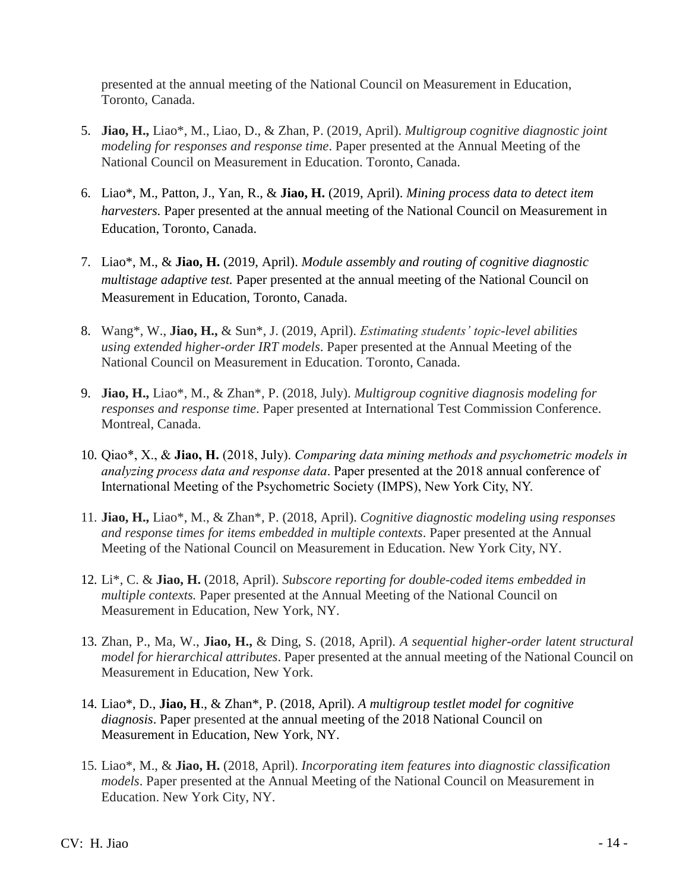presented at the annual meeting of the National Council on Measurement in Education, Toronto, Canada.

- 5. **Jiao, H.,** Liao\*, M., Liao, D., & Zhan, P. (2019, April). *Multigroup cognitive diagnostic joint modeling for responses and response time*. Paper presented at the Annual Meeting of the National Council on Measurement in Education. Toronto, Canada.
- 6. Liao\*, M., Patton, J., Yan, R., & **Jiao, H.** (2019, April). *Mining process data to detect item harvesters.* Paper presented at the annual meeting of the National Council on Measurement in Education, Toronto, Canada.
- 7. Liao\*, M., & **Jiao, H.** (2019, April). *Module assembly and routing of cognitive diagnostic multistage adaptive test.* Paper presented at the annual meeting of the National Council on Measurement in Education, Toronto, Canada.
- 8. Wang\*, W., **Jiao, H.,** & Sun\*, J. (2019, April). *Estimating students' topic-level abilities using extended higher-order IRT models*. Paper presented at the Annual Meeting of the National Council on Measurement in Education. Toronto, Canada.
- 9. **Jiao, H.,** Liao\*, M., & Zhan\*, P. (2018, July). *Multigroup cognitive diagnosis modeling for responses and response time*. Paper presented at International Test Commission Conference. Montreal, Canada.
- 10. Qiao\*, X., & **Jiao, H.** (2018, July). *Comparing data mining methods and psychometric models in analyzing process data and response data*. Paper presented at the 2018 annual conference of International Meeting of the Psychometric Society (IMPS), New York City, NY.
- 11. **Jiao, H.,** Liao\*, M., & Zhan\*, P. (2018, April). *Cognitive diagnostic modeling using responses and response times for items embedded in multiple contexts*. Paper presented at the Annual Meeting of the National Council on Measurement in Education. New York City, NY.
- 12. Li\*, C. & **Jiao, H.** (2018, April). *Subscore reporting for double-coded items embedded in multiple contexts.* Paper presented at the Annual Meeting of the National Council on Measurement in Education, New York, NY.
- 13. Zhan, P., Ma, W., **Jiao, H.,** & Ding, S. (2018, April). *A sequential higher-order latent structural model for hierarchical attributes*. Paper presented at the annual meeting of the National Council on Measurement in Education, New York.
- 14. Liao\*, D., **Jiao, H**., & Zhan\*, P. (2018, April). *A multigroup testlet model for cognitive diagnosis*. Paper presented at the annual meeting of the 2018 National Council on Measurement in Education, New York, NY.
- 15. Liao\*, M., & **Jiao, H.** (2018, April). *Incorporating item features into diagnostic classification models*. Paper presented at the Annual Meeting of the National Council on Measurement in Education. New York City, NY.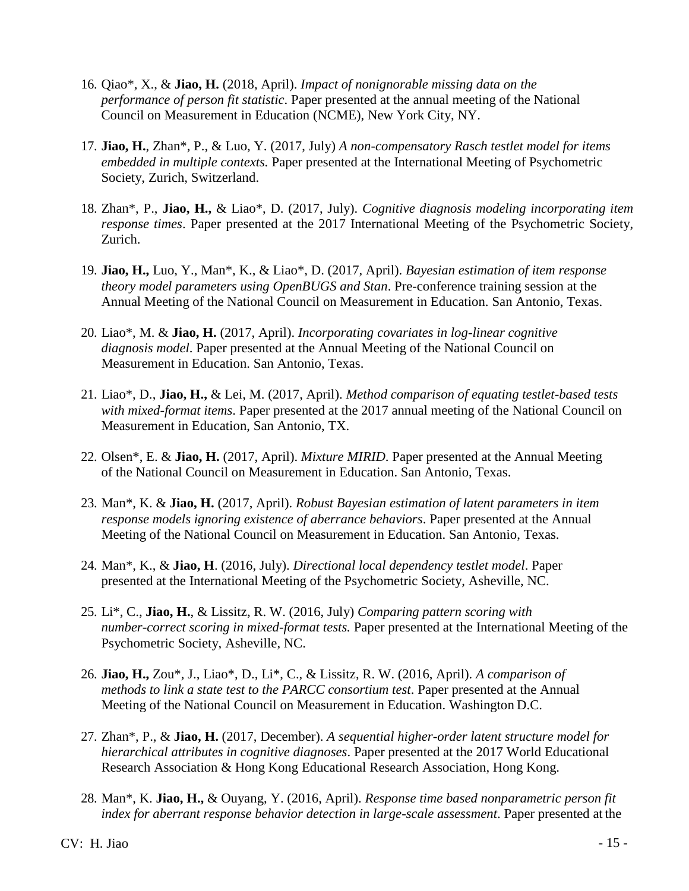- 16. Qiao\*, X., & **Jiao, H.** (2018, April). *Impact of nonignorable missing data on the performance of person fit statistic*. Paper presented at the annual meeting of the National Council on Measurement in Education (NCME), New York City, NY.
- 17. **Jiao, H.**, Zhan\*, P., & Luo, Y. (2017, July) *A non-compensatory Rasch testlet model for items embedded in multiple contexts.* Paper presented at the International Meeting of Psychometric Society, Zurich, Switzerland.
- 18. Zhan\*, P., **Jiao, H.,** & Liao\*, D. (2017, July). *Cognitive diagnosis modeling incorporating item response times*. Paper presented at the 2017 International Meeting of the Psychometric Society, Zurich.
- 19. **Jiao, H.,** Luo, Y., Man\*, K., & Liao\*, D. (2017, April). *Bayesian estimation of item response theory model parameters using OpenBUGS and Stan*. Pre-conference training session at the Annual Meeting of the National Council on Measurement in Education. San Antonio, Texas.
- 20. Liao\*, M. & **Jiao, H.** (2017, April). *Incorporating covariates in log-linear cognitive diagnosis model*. Paper presented at the Annual Meeting of the National Council on Measurement in Education. San Antonio, Texas.
- 21. Liao\*, D., **Jiao, H.,** & Lei, M. (2017, April). *Method comparison of equating testlet-based tests with mixed-format items*. Paper presented at the 2017 annual meeting of the National Council on Measurement in Education, San Antonio, TX.
- 22. Olsen\*, E. & **Jiao, H.** (2017, April). *Mixture MIRID*. Paper presented at the Annual Meeting of the National Council on Measurement in Education. San Antonio, Texas.
- 23. Man\*, K. & **Jiao, H.** (2017, April). *Robust Bayesian estimation of latent parameters in item response models ignoring existence of aberrance behaviors*. Paper presented at the Annual Meeting of the National Council on Measurement in Education. San Antonio, Texas.
- 24. Man\*, K., & **Jiao, H**. (2016, July). *Directional local dependency testlet model*. Paper presented at the International Meeting of the Psychometric Society, Asheville, NC.
- 25. Li\*, C., **Jiao, H.**, & Lissitz, R. W. (2016, July) *Comparing pattern scoring with number-correct scoring in mixed-format tests.* Paper presented at the International Meeting of the Psychometric Society, Asheville, NC.
- 26. **Jiao, H.,** Zou\*, J., Liao\*, D., Li\*, C., & Lissitz, R. W. (2016, April). *A comparison of methods to link a state test to the PARCC consortium test*. Paper presented at the Annual Meeting of the National Council on Measurement in Education. Washington D.C.
- 27. Zhan\*, P., & **Jiao, H.** (2017, December). *A sequential higher-order latent structure model for hierarchical attributes in cognitive diagnoses*. Paper presented at the 2017 World Educational Research Association & Hong Kong Educational Research Association, Hong Kong.
- 28. Man\*, K. **Jiao, H.,** & Ouyang, Y. (2016, April). *Response time based nonparametric person fit index for aberrant response behavior detection in large-scale assessment*. Paper presented at the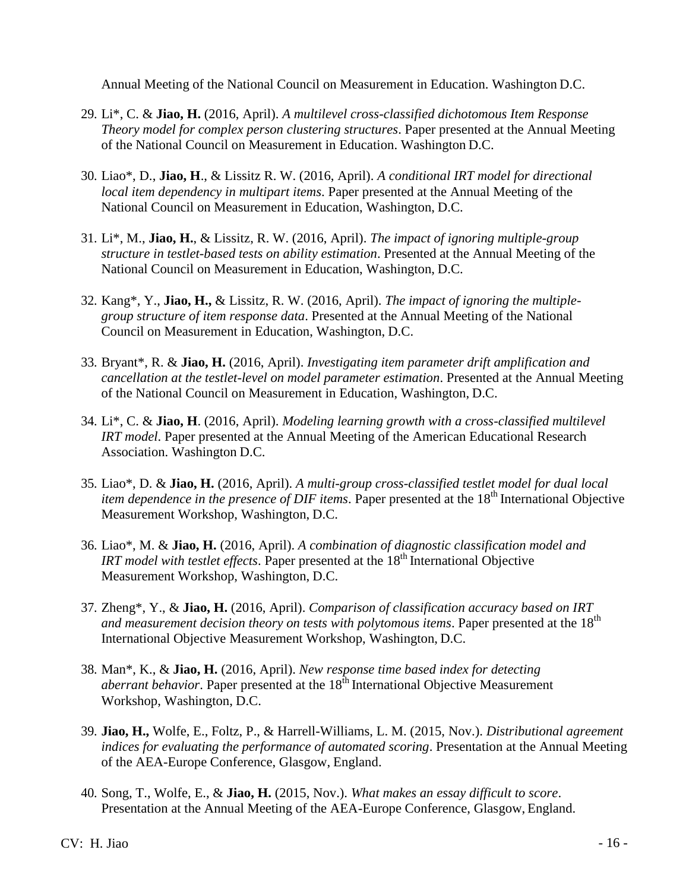Annual Meeting of the National Council on Measurement in Education. Washington D.C.

- 29. Li\*, C. & **Jiao, H.** (2016, April). *A multilevel cross-classified dichotomous Item Response Theory model for complex person clustering structures*. Paper presented at the Annual Meeting of the National Council on Measurement in Education. Washington D.C.
- 30. Liao\*, D., **Jiao, H**., & Lissitz R. W. (2016, April). *A conditional IRT model for directional local item dependency in multipart items*. Paper presented at the Annual Meeting of the National Council on Measurement in Education, Washington, D.C.
- 31. Li\*, M., **Jiao, H.**, & Lissitz, R. W. (2016, April). *The impact of ignoring multiple-group structure in testlet-based tests on ability estimation*. Presented at the Annual Meeting of the National Council on Measurement in Education, Washington, D.C.
- 32. Kang\*, Y., **Jiao, H.,** & Lissitz, R. W. (2016, April). *The impact of ignoring the multiplegroup structure of item response data*. Presented at the Annual Meeting of the National Council on Measurement in Education, Washington, D.C.
- 33. Bryant\*, R. & **Jiao, H.** (2016, April). *Investigating item parameter drift amplification and cancellation at the testlet-level on model parameter estimation*. Presented at the Annual Meeting of the National Council on Measurement in Education, Washington, D.C.
- 34. Li\*, C. & **Jiao, H**. (2016, April). *Modeling learning growth with a cross-classified multilevel IRT model*. Paper presented at the Annual Meeting of the American Educational Research Association. Washington D.C.
- 35. Liao\*, D. & **Jiao, H.** (2016, April). *A multi-group cross-classified testlet model for dual local item dependence in the presence of DIF items.* Paper presented at the 18<sup>th</sup> International Objective Measurement Workshop, Washington, D.C.
- 36. Liao\*, M. & **Jiao, H.** (2016, April). *A combination of diagnostic classification model and IRT model with testlet effects.* Paper presented at the 18<sup>th</sup> International Objective Measurement Workshop, Washington, D.C.
- 37. Zheng\*, Y., & **Jiao, H.** (2016, April). *Comparison of classification accuracy based on IRT and measurement decision theory on tests with polytomous items.* Paper presented at the 18<sup>th</sup> International Objective Measurement Workshop, Washington, D.C.
- 38. Man\*, K., & **Jiao, H.** (2016, April). *New response time based index for detecting aberrant behavior*. Paper presented at the 18<sup>th</sup> International Objective Measurement Workshop, Washington, D.C.
- 39. **Jiao, H.,** Wolfe, E., Foltz, P., & Harrell-Williams, L. M. (2015, Nov.). *Distributional agreement indices for evaluating the performance of automated scoring*. Presentation at the Annual Meeting of the AEA-Europe Conference, Glasgow, England.
- 40. Song, T., Wolfe, E., & **Jiao, H.** (2015, Nov.). *What makes an essay difficult to score*. Presentation at the Annual Meeting of the AEA-Europe Conference, Glasgow, England.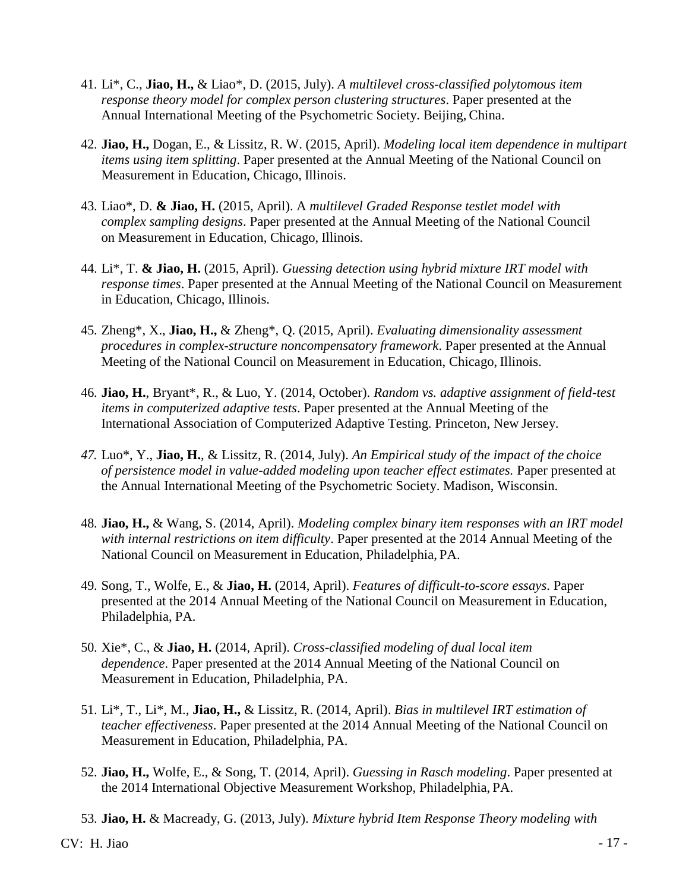- 41. Li\*, C., **Jiao, H.,** & Liao\*, D. (2015, July). *A multilevel cross-classified polytomous item response theory model for complex person clustering structures*. Paper presented at the Annual International Meeting of the Psychometric Society. Beijing, China.
- 42. **Jiao, H.,** Dogan, E., & Lissitz, R. W. (2015, April). *Modeling local item dependence in multipart items using item splitting*. Paper presented at the Annual Meeting of the National Council on Measurement in Education, Chicago, Illinois.
- 43. Liao\*, D. **& Jiao, H.** (2015, April). A *multilevel Graded Response testlet model with complex sampling designs*. Paper presented at the Annual Meeting of the National Council on Measurement in Education, Chicago, Illinois.
- 44. Li\*, T. **& Jiao, H.** (2015, April). *Guessing detection using hybrid mixture IRT model with response times*. Paper presented at the Annual Meeting of the National Council on Measurement in Education, Chicago, Illinois.
- 45. Zheng\*, X., **Jiao, H.,** & Zheng\*, Q. (2015, April). *Evaluating dimensionality assessment procedures in complex-structure noncompensatory framework*. Paper presented at the Annual Meeting of the National Council on Measurement in Education, Chicago, Illinois.
- 46. **Jiao, H.**, Bryant\*, R., & Luo, Y. (2014, October). *Random vs. adaptive assignment of field-test items in computerized adaptive tests*. Paper presented at the Annual Meeting of the International Association of Computerized Adaptive Testing. Princeton, New Jersey.
- *47.* Luo\*, Y., **Jiao, H.**, & Lissitz, R. (2014, July). *An Empirical study of the impact of the choice of persistence model in value-added modeling upon teacher effect estimates.* Paper presented at the Annual International Meeting of the Psychometric Society. Madison, Wisconsin.
- 48. **Jiao, H.,** & Wang, S. (2014, April). *Modeling complex binary item responses with an IRT model with internal restrictions on item difficulty*. Paper presented at the 2014 Annual Meeting of the National Council on Measurement in Education, Philadelphia, PA.
- 49. Song, T., Wolfe, E., & **Jiao, H.** (2014, April). *Features of difficult-to-score essays*. Paper presented at the 2014 Annual Meeting of the National Council on Measurement in Education, Philadelphia, PA.
- 50. Xie\*, C., & **Jiao, H.** (2014, April). *Cross-classified modeling of dual local item dependence*. Paper presented at the 2014 Annual Meeting of the National Council on Measurement in Education, Philadelphia, PA.
- 51. Li\*, T., Li\*, M., **Jiao, H.,** & Lissitz, R. (2014, April). *Bias in multilevel IRT estimation of teacher effectiveness*. Paper presented at the 2014 Annual Meeting of the National Council on Measurement in Education, Philadelphia, PA.
- 52. **Jiao, H.,** Wolfe, E., & Song, T. (2014, April). *Guessing in Rasch modeling*. Paper presented at the 2014 International Objective Measurement Workshop, Philadelphia, PA.
- 53. **Jiao, H.** & Macready, G. (2013, July). *Mixture hybrid Item Response Theory modeling with*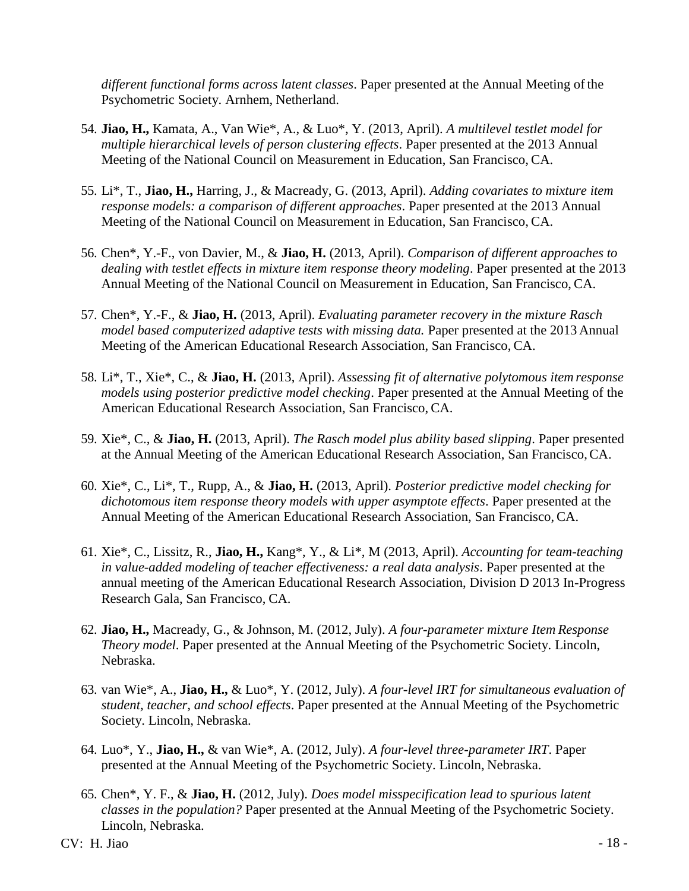*different functional forms across latent classes*. Paper presented at the Annual Meeting ofthe Psychometric Society. Arnhem, Netherland.

- 54. **Jiao, H.,** Kamata, A., Van Wie\*, A., & Luo\*, Y. (2013, April). *A multilevel testlet model for multiple hierarchical levels of person clustering effects*. Paper presented at the 2013 Annual Meeting of the National Council on Measurement in Education, San Francisco, CA.
- 55. Li\*, T., **Jiao, H.,** Harring, J., & Macready, G. (2013, April). *Adding covariates to mixture item response models: a comparison of different approaches*. Paper presented at the 2013 Annual Meeting of the National Council on Measurement in Education, San Francisco, CA.
- 56. Chen\*, Y.-F., von Davier, M., & **Jiao, H.** (2013, April). *Comparison of different approaches to dealing with testlet effects in mixture item response theory modeling*. Paper presented at the 2013 Annual Meeting of the National Council on Measurement in Education, San Francisco, CA.
- 57. Chen\*, Y.-F., & **Jiao, H.** (2013, April). *Evaluating parameter recovery in the mixture Rasch model based computerized adaptive tests with missing data.* Paper presented at the 2013 Annual Meeting of the American Educational Research Association, San Francisco, CA.
- 58. Li\*, T., Xie\*, C., & **Jiao, H.** (2013, April). *Assessing fit of alternative polytomous item response models using posterior predictive model checking*. Paper presented at the Annual Meeting of the American Educational Research Association, San Francisco, CA.
- 59. Xie\*, C., & **Jiao, H.** (2013, April). *The Rasch model plus ability based slipping*. Paper presented at the Annual Meeting of the American Educational Research Association, San Francisco,CA.
- 60. Xie\*, C., Li\*, T., Rupp, A., & **Jiao, H.** (2013, April). *Posterior predictive model checking for dichotomous item response theory models with upper asymptote effects*. Paper presented at the Annual Meeting of the American Educational Research Association, San Francisco, CA.
- 61. Xie\*, C., Lissitz, R., **Jiao, H.,** Kang\*, Y., & Li\*, M (2013, April). *Accounting for team-teaching in value-added modeling of teacher effectiveness: a real data analysis*. Paper presented at the annual meeting of the American Educational Research Association, Division D 2013 In-Progress Research Gala, San Francisco, CA.
- 62. **Jiao, H.,** Macready, G., & Johnson, M. (2012, July). *A four-parameter mixture Item Response Theory model*. Paper presented at the Annual Meeting of the Psychometric Society. Lincoln, Nebraska.
- 63. van Wie\*, A., **Jiao, H.,** & Luo\*, Y. (2012, July). *A four-level IRT for simultaneous evaluation of student, teacher, and school effects*. Paper presented at the Annual Meeting of the Psychometric Society. Lincoln, Nebraska.
- 64. Luo\*, Y., **Jiao, H.,** & van Wie\*, A. (2012, July). *A four-level three-parameter IRT*. Paper presented at the Annual Meeting of the Psychometric Society. Lincoln, Nebraska.
- 65. Chen\*, Y. F., & **Jiao, H.** (2012, July). *Does model misspecification lead to spurious latent classes in the population?* Paper presented at the Annual Meeting of the Psychometric Society. Lincoln, Nebraska.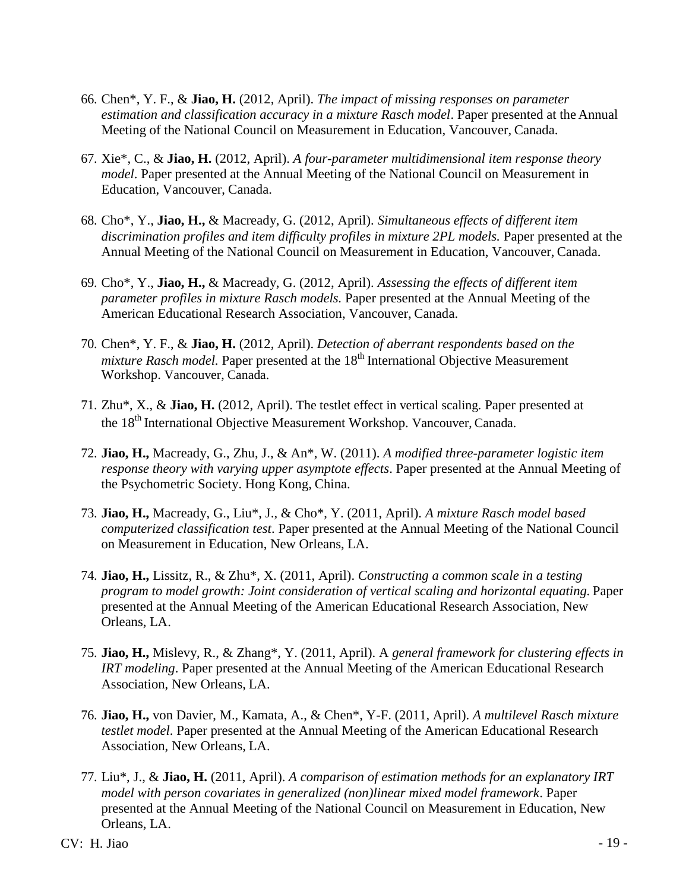- 66. Chen\*, Y. F., & **Jiao, H.** (2012, April). *The impact of missing responses on parameter estimation and classification accuracy in a mixture Rasch model*. Paper presented at the Annual Meeting of the National Council on Measurement in Education, Vancouver, Canada.
- 67. Xie\*, C., & **Jiao, H.** (2012, April). *A four-parameter multidimensional item response theory model*. Paper presented at the Annual Meeting of the National Council on Measurement in Education, Vancouver, Canada.
- 68. Cho\*, Y., **Jiao, H.,** & Macready, G. (2012, April). *Simultaneous effects of different item*  discrimination profiles and item difficulty profiles in mixture 2PL models. Paper presented at the Annual Meeting of the National Council on Measurement in Education, Vancouver, Canada.
- 69. Cho\*, Y., **Jiao, H.,** & Macready, G. (2012, April). *Assessing the effects of different item parameter profiles in mixture Rasch models.* Paper presented at the Annual Meeting of the American Educational Research Association, Vancouver, Canada.
- 70. Chen\*, Y. F., & **Jiao, H.** (2012, April). *Detection of aberrant respondents based on the mixture Rasch model.* Paper presented at the 18<sup>th</sup> International Objective Measurement Workshop. Vancouver, Canada.
- 71. Zhu\*, X., & **Jiao, H.** (2012, April). The testlet effect in vertical scaling. Paper presented at the 18<sup>th</sup> International Objective Measurement Workshop. Vancouver, Canada.
- 72. **Jiao, H.,** Macready, G., Zhu, J., & An\*, W. (2011). *A modified three-parameter logistic item response theory with varying upper asymptote effects*. Paper presented at the Annual Meeting of the Psychometric Society. Hong Kong, China.
- 73. **Jiao, H.,** Macready, G., Liu\*, J., & Cho\*, Y. (2011, April). *A mixture Rasch model based computerized classification test*. Paper presented at the Annual Meeting of the National Council on Measurement in Education, New Orleans, LA.
- 74. **Jiao, H.,** Lissitz, R., & Zhu\*, X. (2011, April). *Constructing a common scale in a testing program to model growth: Joint consideration of vertical scaling and horizontal equating.* Paper presented at the Annual Meeting of the American Educational Research Association, New Orleans, LA.
- 75. **Jiao, H.,** Mislevy, R., & Zhang\*, Y. (2011, April). A *general framework for clustering effects in IRT modeling*. Paper presented at the Annual Meeting of the American Educational Research Association, New Orleans, LA.
- 76. **Jiao, H.,** von Davier, M., Kamata, A., & Chen\*, Y-F. (2011, April). *A multilevel Rasch mixture testlet model*. Paper presented at the Annual Meeting of the American Educational Research Association, New Orleans, LA.
- 77. Liu\*, J., & **Jiao, H.** (2011, April). *A comparison of estimation methods for an explanatory IRT model with person covariates in generalized (non)linear mixed model framework*. Paper presented at the Annual Meeting of the National Council on Measurement in Education, New Orleans, LA.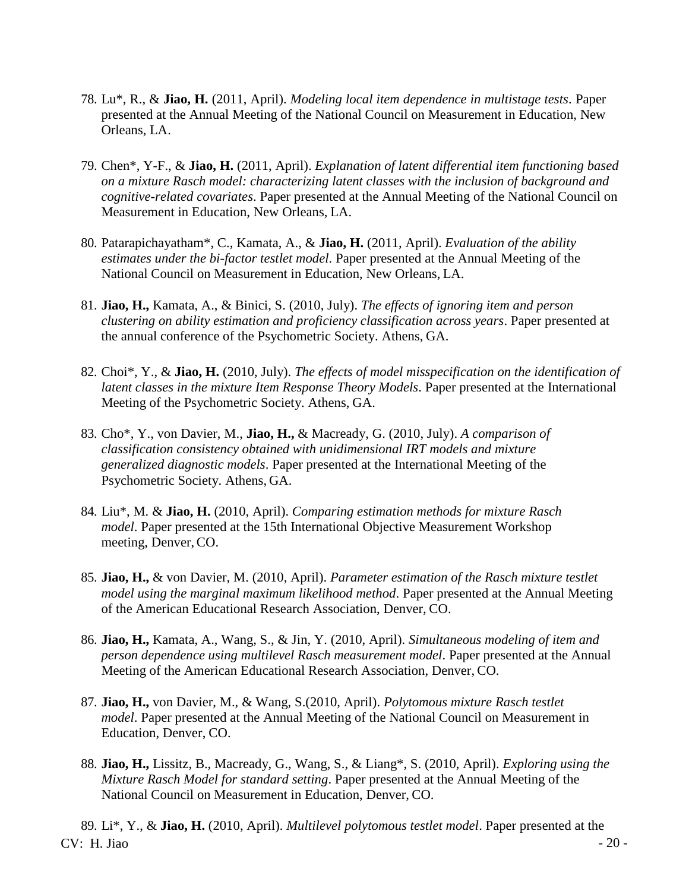- 78. Lu\*, R., & **Jiao, H.** (2011, April). *Modeling local item dependence in multistage tests*. Paper presented at the Annual Meeting of the National Council on Measurement in Education, New Orleans, LA.
- 79. Chen\*, Y-F., & **Jiao, H.** (2011, April). *Explanation of latent differential item functioning based on a mixture Rasch model: characterizing latent classes with the inclusion of background and cognitive-related covariates*. Paper presented at the Annual Meeting of the National Council on Measurement in Education, New Orleans, LA.
- 80. Patarapichayatham\*, C., Kamata, A., & **Jiao, H.** (2011, April). *Evaluation of the ability estimates under the bi-factor testlet model*. Paper presented at the Annual Meeting of the National Council on Measurement in Education, New Orleans, LA.
- 81. **Jiao, H.,** Kamata, A., & Binici, S. (2010, July). *The effects of ignoring item and person clustering on ability estimation and proficiency classification across years*. Paper presented at the annual conference of the Psychometric Society. Athens, GA.
- 82. Choi\*, Y., & **Jiao, H.** (2010, July). *The effects of model misspecification on the identification of latent classes in the mixture Item Response Theory Models*. Paper presented at the International Meeting of the Psychometric Society. Athens, GA.
- 83. Cho\*, Y., von Davier, M., **Jiao, H.,** & Macready, G. (2010, July). *A comparison of classification consistency obtained with unidimensional IRT models and mixture generalized diagnostic models*. Paper presented at the International Meeting of the Psychometric Society. Athens, GA.
- 84. Liu\*, M. & **Jiao, H.** (2010, April). *Comparing estimation methods for mixture Rasch model*. Paper presented at the 15th International Objective Measurement Workshop meeting, Denver, CO.
- 85. **Jiao, H.,** & von Davier, M. (2010, April). *Parameter estimation of the Rasch mixture testlet model using the marginal maximum likelihood method*. Paper presented at the Annual Meeting of the American Educational Research Association, Denver, CO.
- 86. **Jiao, H.,** Kamata, A., Wang, S., & Jin, Y. (2010, April). *Simultaneous modeling of item and person dependence using multilevel Rasch measurement model*. Paper presented at the Annual Meeting of the American Educational Research Association, Denver, CO.
- 87. **Jiao, H.,** von Davier, M., & Wang, S.(2010, April). *Polytomous mixture Rasch testlet model*. Paper presented at the Annual Meeting of the National Council on Measurement in Education, Denver, CO.
- 88. **Jiao, H.,** Lissitz, B., Macready, G., Wang, S., & Liang\*, S. (2010, April). *Exploring using the Mixture Rasch Model for standard setting*. Paper presented at the Annual Meeting of the National Council on Measurement in Education, Denver, CO.

 $CV: H. Jiao$  - 20 -89. Li\*, Y., & **Jiao, H.** (2010, April). *Multilevel polytomous testlet model*. Paper presented at the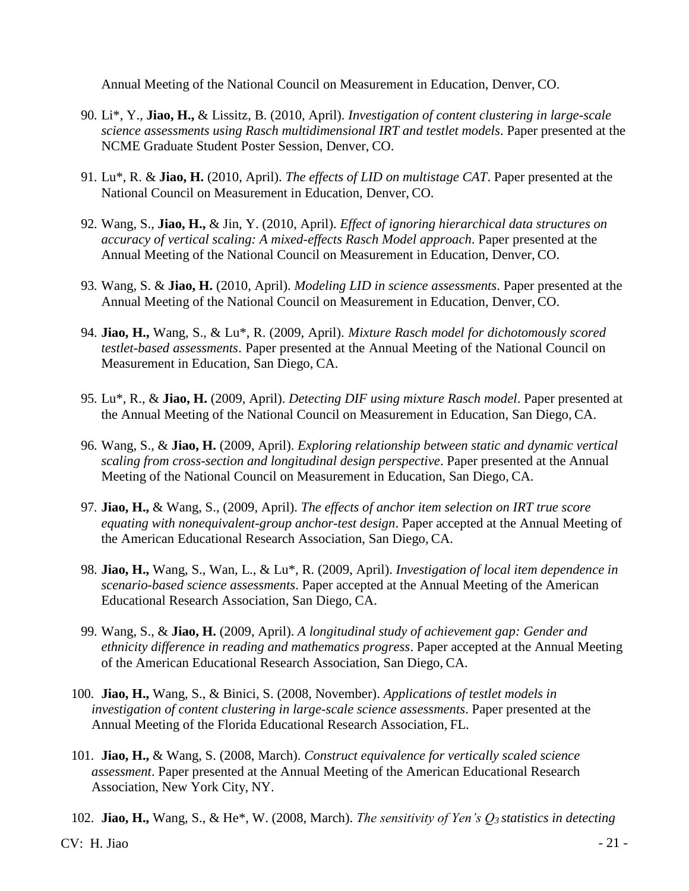Annual Meeting of the National Council on Measurement in Education, Denver, CO.

- 90. Li\*, Y., **Jiao, H.,** & Lissitz, B. (2010, April). *Investigation of content clustering in large-scale science assessments using Rasch multidimensional IRT and testlet models*. Paper presented at the NCME Graduate Student Poster Session, Denver, CO.
- 91. Lu\*, R. & **Jiao, H.** (2010, April). *The effects of LID on multistage CAT*. Paper presented at the National Council on Measurement in Education, Denver, CO.
- 92. Wang, S., **Jiao, H.,** & Jin, Y. (2010, April). *Effect of ignoring hierarchical data structures on accuracy of vertical scaling: A mixed-effects Rasch Model approach*. Paper presented at the Annual Meeting of the National Council on Measurement in Education, Denver, CO.
- 93. Wang, S. & **Jiao, H.** (2010, April). *Modeling LID in science assessments*. Paper presented at the Annual Meeting of the National Council on Measurement in Education, Denver, CO.
- 94. **Jiao, H.,** Wang, S., & Lu\*, R. (2009, April). *Mixture Rasch model for dichotomously scored testlet-based assessments*. Paper presented at the Annual Meeting of the National Council on Measurement in Education, San Diego, CA.
- 95. Lu\*, R., & **Jiao, H.** (2009, April). *Detecting DIF using mixture Rasch model*. Paper presented at the Annual Meeting of the National Council on Measurement in Education, San Diego, CA.
- 96. Wang, S., & **Jiao, H.** (2009, April). *Exploring relationship between static and dynamic vertical scaling from cross-section and longitudinal design perspective*. Paper presented at the Annual Meeting of the National Council on Measurement in Education, San Diego, CA.
- 97. **Jiao, H.,** & Wang, S., (2009, April). *The effects of anchor item selection on IRT true score equating with nonequivalent-group anchor-test design*. Paper accepted at the Annual Meeting of the American Educational Research Association, San Diego, CA.
- 98. **Jiao, H.,** Wang, S., Wan, L., & Lu\*, R. (2009, April). *Investigation of local item dependence in scenario-based science assessments*. Paper accepted at the Annual Meeting of the American Educational Research Association, San Diego, CA.
- 99. Wang, S., & **Jiao, H.** (2009, April). *A longitudinal study of achievement gap: Gender and ethnicity difference in reading and mathematics progress*. Paper accepted at the Annual Meeting of the American Educational Research Association, San Diego, CA.
- 100. **Jiao, H.,** Wang, S., & Binici, S. (2008, November). *Applications of testlet models in investigation of content clustering in large-scale science assessments*. Paper presented at the Annual Meeting of the Florida Educational Research Association, FL.
- 101. **Jiao, H.,** & Wang, S. (2008, March). *Construct equivalence for vertically scaled science assessment*. Paper presented at the Annual Meeting of the American Educational Research Association, New York City, NY.
- 102. **Jiao, H.,** Wang, S., & He\*, W. (2008, March). *The sensitivity of Yen's Q3 statistics in detecting*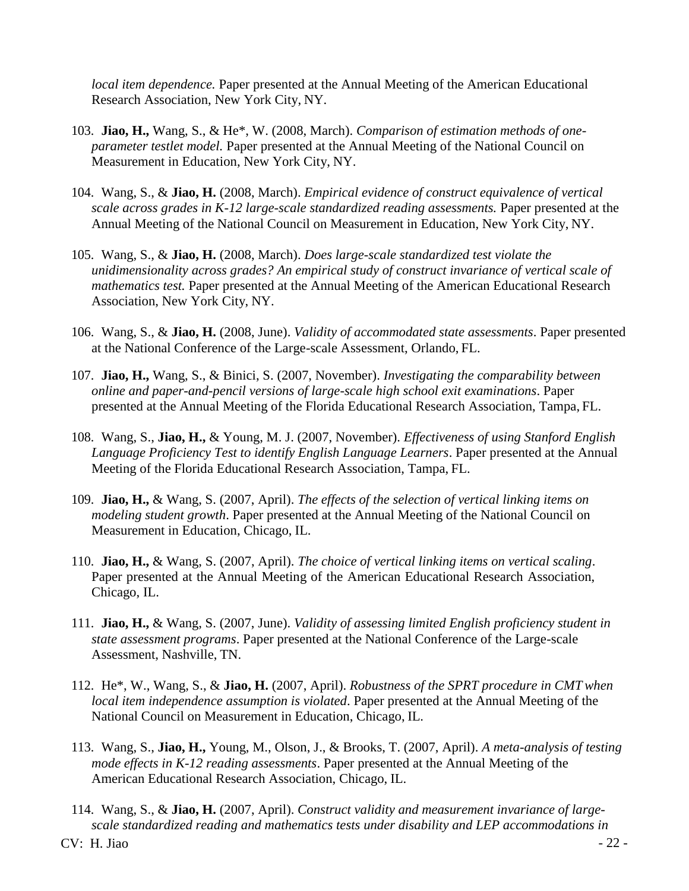*local item dependence.* Paper presented at the Annual Meeting of the American Educational Research Association, New York City, NY.

- 103. **Jiao, H.,** Wang, S., & He\*, W. (2008, March). *Comparison of estimation methods of oneparameter testlet model.* Paper presented at the Annual Meeting of the National Council on Measurement in Education, New York City, NY.
- 104. Wang, S., & **Jiao, H.** (2008, March). *Empirical evidence of construct equivalence of vertical scale across grades in K-12 large-scale standardized reading assessments.* Paper presented at the Annual Meeting of the National Council on Measurement in Education, New York City, NY.
- 105. Wang, S., & **Jiao, H.** (2008, March). *Does large-scale standardized test violate the unidimensionality across grades? An empirical study of construct invariance of vertical scale of mathematics test.* Paper presented at the Annual Meeting of the American Educational Research Association, New York City, NY.
- 106. Wang, S., & **Jiao, H.** (2008, June). *Validity of accommodated state assessments*. Paper presented at the National Conference of the Large-scale Assessment, Orlando, FL.
- 107. **Jiao, H.,** Wang, S., & Binici, S. (2007, November). *Investigating the comparability between online and paper-and-pencil versions of large-scale high school exit examinations*. Paper presented at the Annual Meeting of the Florida Educational Research Association, Tampa, FL.
- 108. Wang, S., **Jiao, H.,** & Young, M. J. (2007, November). *Effectiveness of using Stanford English Language Proficiency Test to identify English Language Learners*. Paper presented at the Annual Meeting of the Florida Educational Research Association, Tampa, FL.
- 109. **Jiao, H.,** & Wang, S. (2007, April). *The effects of the selection of vertical linking items on modeling student growth*. Paper presented at the Annual Meeting of the National Council on Measurement in Education, Chicago, IL.
- 110. **Jiao, H.,** & Wang, S. (2007, April). *The choice of vertical linking items on vertical scaling*. Paper presented at the Annual Meeting of the American Educational Research Association, Chicago, IL.
- 111. **Jiao, H.,** & Wang, S. (2007, June). *Validity of assessing limited English proficiency student in state assessment programs*. Paper presented at the National Conference of the Large-scale Assessment, Nashville, TN.
- 112. He\*, W., Wang, S., & **Jiao, H.** (2007, April). *Robustness of the SPRT procedure in CMT when local item independence assumption is violated*. Paper presented at the Annual Meeting of the National Council on Measurement in Education, Chicago, IL.
- 113. Wang, S., **Jiao, H.,** Young, M., Olson, J., & Brooks, T. (2007, April). *A meta-analysis of testing mode effects in K-12 reading assessments*. Paper presented at the Annual Meeting of the American Educational Research Association, Chicago, IL.
- 114. Wang, S., & **Jiao, H.** (2007, April). *Construct validity and measurement invariance of largescale standardized reading and mathematics tests under disability and LEP accommodations in*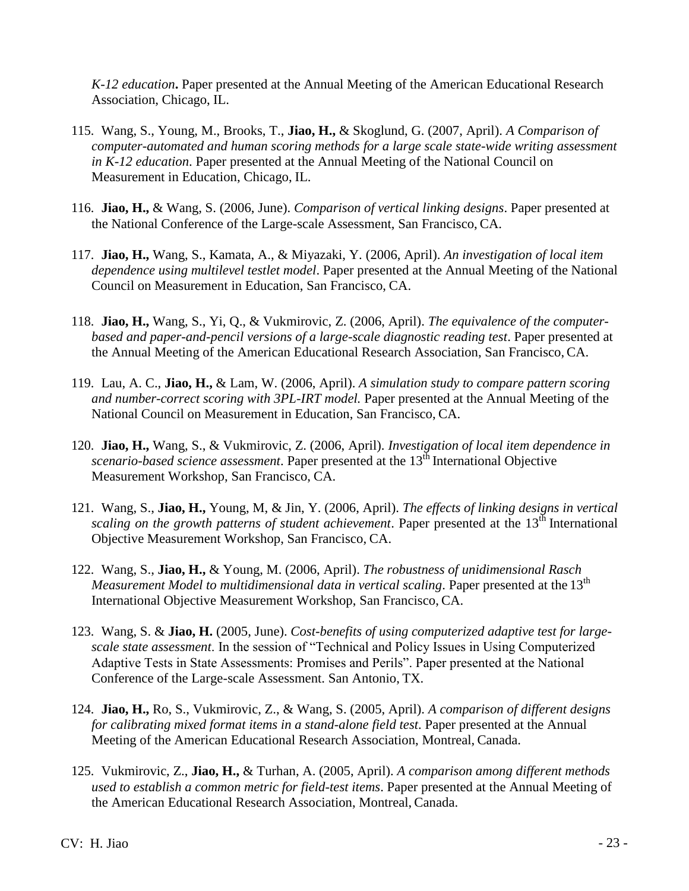*K-12 education***.** Paper presented at the Annual Meeting of the American Educational Research Association, Chicago, IL.

- 115. Wang, S., Young, M., Brooks, T., **Jiao, H.,** & Skoglund, G. (2007, April). *A Comparison of computer-automated and human scoring methods for a large scale state-wide writing assessment in K-12 education*. Paper presented at the Annual Meeting of the National Council on Measurement in Education, Chicago, IL.
- 116. **Jiao, H.,** & Wang, S. (2006, June). *Comparison of vertical linking designs*. Paper presented at the National Conference of the Large-scale Assessment, San Francisco, CA.
- 117. **Jiao, H.,** Wang, S., Kamata, A., & Miyazaki, Y. (2006, April). *An investigation of local item dependence using multilevel testlet model*. Paper presented at the Annual Meeting of the National Council on Measurement in Education, San Francisco, CA.
- 118. **Jiao, H.,** Wang, S., Yi, Q., & Vukmirovic, Z. (2006, April). *The equivalence of the computerbased and paper-and-pencil versions of a large-scale diagnostic reading test*. Paper presented at the Annual Meeting of the American Educational Research Association, San Francisco,CA.
- 119. Lau, A. C., **Jiao, H.,** & Lam, W. (2006, April). *A simulation study to compare pattern scoring and number-correct scoring with 3PL-IRT model.* Paper presented at the Annual Meeting of the National Council on Measurement in Education, San Francisco, CA.
- 120. **Jiao, H.,** Wang, S., & Vukmirovic, Z. (2006, April). *Investigation of local item dependence in scenario-based science assessment*. Paper presented at the 13<sup>th</sup> International Objective Measurement Workshop, San Francisco, CA.
- 121. Wang, S., **Jiao, H.,** Young, M, & Jin, Y. (2006, April). *The effects of linking designs in vertical scaling on the growth patterns of student achievement*. Paper presented at the 13<sup>th</sup> International Objective Measurement Workshop, San Francisco, CA.
- 122. Wang, S., **Jiao, H.,** & Young, M. (2006, April). *The robustness of unidimensional Rasch Measurement Model to multidimensional data in vertical scaling.* Paper presented at the 13<sup>th</sup> International Objective Measurement Workshop, San Francisco, CA.
- 123. Wang, S. & **Jiao, H.** (2005, June). *Cost-benefits of using computerized adaptive test for largescale state assessment*. In the session of "Technical and Policy Issues in Using Computerized Adaptive Tests in State Assessments: Promises and Perils". Paper presented at the National Conference of the Large-scale Assessment. San Antonio, TX.
- 124. **Jiao, H.,** Ro, S., Vukmirovic, Z., & Wang, S. (2005, April). *A comparison of different designs for calibrating mixed format items in a stand-alone field test*. Paper presented at the Annual Meeting of the American Educational Research Association, Montreal, Canada.
- 125. Vukmirovic, Z., **Jiao, H.,** & Turhan, A. (2005, April). *A comparison among different methods used to establish a common metric for field-test items*. Paper presented at the Annual Meeting of the American Educational Research Association, Montreal, Canada.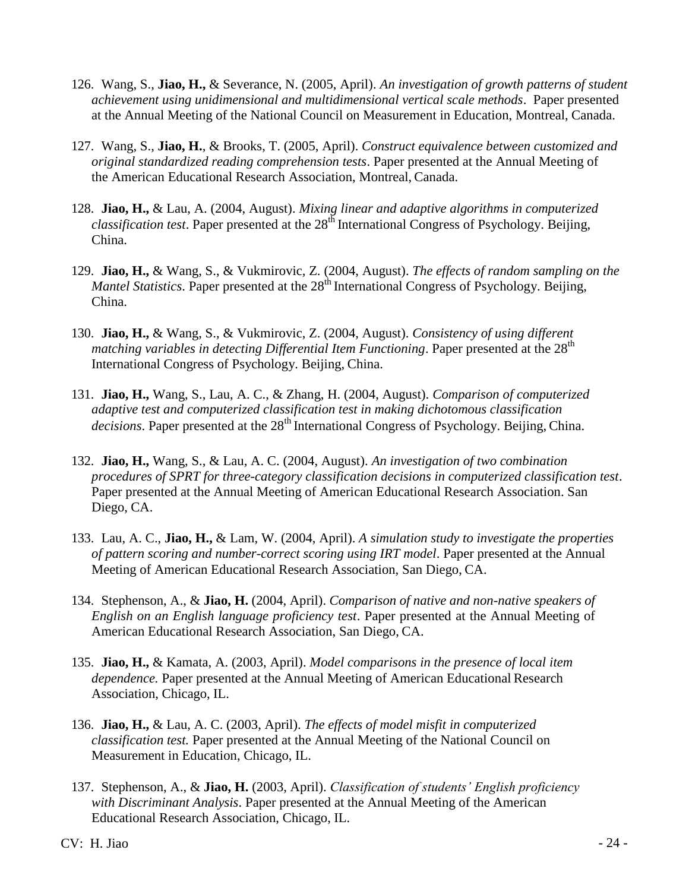- 126. Wang, S., **Jiao, H.,** & Severance, N. (2005, April). *An investigation of growth patterns of student achievement using unidimensional and multidimensional vertical scale methods*. Paper presented at the Annual Meeting of the National Council on Measurement in Education, Montreal, Canada.
- 127. Wang, S., **Jiao, H.**, & Brooks, T. (2005, April). *Construct equivalence between customized and original standardized reading comprehension tests*. Paper presented at the Annual Meeting of the American Educational Research Association, Montreal, Canada.
- 128. **Jiao, H.,** & Lau, A. (2004, August). *Mixing linear and adaptive algorithms in computerized classification test.* Paper presented at the 28<sup>th</sup> International Congress of Psychology. Beijing, China.
- 129. **Jiao, H.,** & Wang, S., & Vukmirovic, Z. (2004, August). *The effects of random sampling on the Mantel Statistics*. Paper presented at the 28<sup>th</sup> International Congress of Psychology. Beijing, China.
- 130. **Jiao, H.,** & Wang, S., & Vukmirovic, Z. (2004, August). *Consistency of using different matching variables in detecting Differential Item Functioning.* Paper presented at the 28<sup>th</sup> International Congress of Psychology. Beijing, China.
- 131. **Jiao, H.,** Wang, S., Lau, A. C., & Zhang, H. (2004, August). *Comparison of computerized adaptive test and computerized classification test in making dichotomous classification decisions*. Paper presented at the 28<sup>th</sup> International Congress of Psychology. Beijing, China.
- 132. **Jiao, H.,** Wang, S., & Lau, A. C. (2004, August). *An investigation of two combination procedures of SPRT for three-category classification decisions in computerized classification test*. Paper presented at the Annual Meeting of American Educational Research Association. San Diego, CA.
- 133. Lau, A. C., **Jiao, H.,** & Lam, W. (2004, April). *A simulation study to investigate the properties of pattern scoring and number-correct scoring using IRT model*. Paper presented at the Annual Meeting of American Educational Research Association, San Diego, CA.
- 134. Stephenson, A., & **Jiao, H.** (2004, April). *Comparison of native and non-native speakers of English on an English language proficiency test*. Paper presented at the Annual Meeting of American Educational Research Association, San Diego, CA.
- 135. **Jiao, H.,** & Kamata, A. (2003, April). *Model comparisons in the presence of local item dependence.* Paper presented at the Annual Meeting of American Educational Research Association, Chicago, IL.
- 136. **Jiao, H.,** & Lau, A. C. (2003, April). *The effects of model misfit in computerized classification test.* Paper presented at the Annual Meeting of the National Council on Measurement in Education, Chicago, IL.
- 137. Stephenson, A., & **Jiao, H.** (2003, April). *Classification of students' English proficiency with Discriminant Analysis*. Paper presented at the Annual Meeting of the American Educational Research Association, Chicago, IL.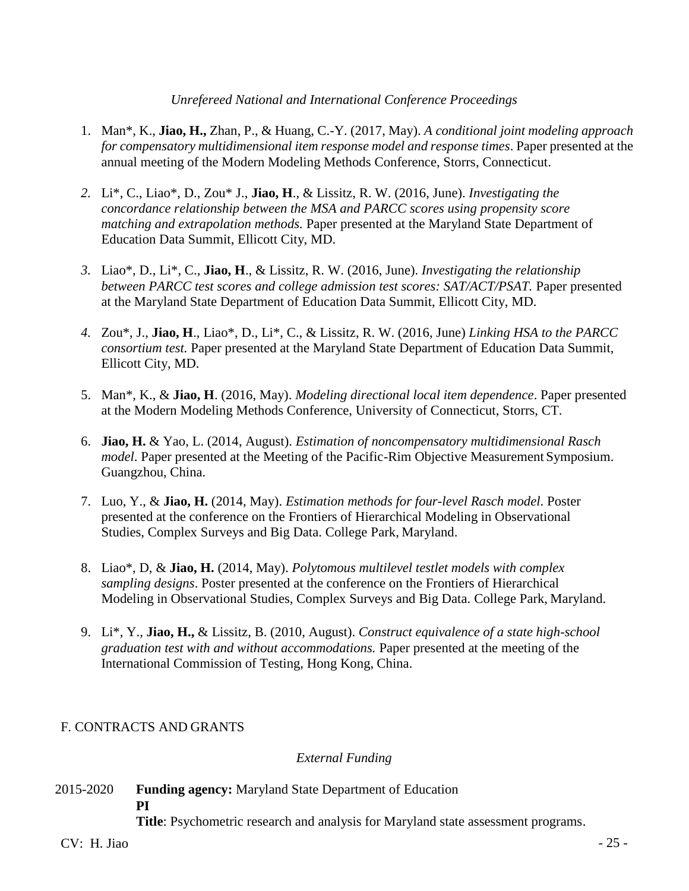#### *Unrefereed National and International Conference Proceedings*

- 1. Man\*, K., **Jiao, H.,** Zhan, P., & Huang, C.-Y. (2017, May). *A conditional joint modeling approach for compensatory multidimensional item response model and response times*. Paper presented at the annual meeting of the Modern Modeling Methods Conference, Storrs, Connecticut.
- *2.* Li\*, C., Liao\*, D., Zou\* J., **Jiao, H**., & Lissitz, R. W. (2016, June). *Investigating the concordance relationship between the MSA and PARCC scores using propensity score matching and extrapolation methods.* Paper presented at the Maryland State Department of Education Data Summit, Ellicott City, MD.
- *3.* Liao\*, D., Li\*, C., **Jiao, H**., & Lissitz, R. W. (2016, June). *Investigating the relationship between PARCC test scores and college admission test scores: SAT/ACT/PSAT.* Paper presented at the Maryland State Department of Education Data Summit, Ellicott City, MD.
- *4.* Zou\*, J., **Jiao, H**., Liao\*, D., Li\*, C., & Lissitz, R. W. (2016, June) *Linking HSA to the PARCC consortium test.* Paper presented at the Maryland State Department of Education Data Summit, Ellicott City, MD.
- 5. Man\*, K., & **Jiao, H**. (2016, May). *Modeling directional local item dependence*. Paper presented at the Modern Modeling Methods Conference, University of Connecticut, Storrs, CT.
- 6. **Jiao, H.** & Yao, L. (2014, August). *Estimation of noncompensatory multidimensional Rasch model*. Paper presented at the Meeting of the Pacific-Rim Objective Measurement Symposium. Guangzhou, China.
- 7. Luo, Y., & **Jiao, H.** (2014, May). *Estimation methods for four-level Rasch model*. Poster presented at the conference on the Frontiers of Hierarchical Modeling in Observational Studies, Complex Surveys and Big Data. College Park, Maryland.
- 8. Liao\*, D, & **Jiao, H.** (2014, May). *Polytomous multilevel testlet models with complex sampling designs*. Poster presented at the conference on the Frontiers of Hierarchical Modeling in Observational Studies, Complex Surveys and Big Data. College Park, Maryland.
- 9. Li\*, Y., **Jiao, H.,** & Lissitz, B. (2010, August). *Construct equivalence of a state high-school graduation test with and without accommodations.* Paper presented at the meeting of the International Commission of Testing, Hong Kong, China.

### F. CONTRACTS AND GRANTS

### *External Funding*

2015-2020 **Funding agency:** Maryland State Department of Education **PI**

**Title**: Psychometric research and analysis for Maryland state assessment programs.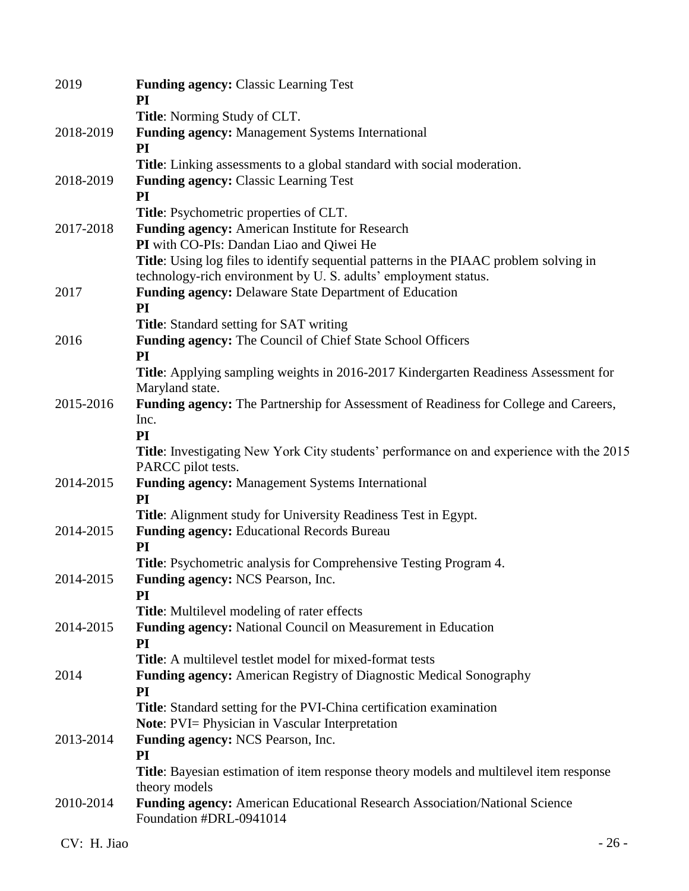| 2019      | <b>Funding agency: Classic Learning Test</b><br>PI                                                                    |
|-----------|-----------------------------------------------------------------------------------------------------------------------|
|           | Title: Norming Study of CLT.                                                                                          |
| 2018-2019 | <b>Funding agency:</b> Management Systems International<br>PI                                                         |
|           | <b>Title:</b> Linking assessments to a global standard with social moderation.                                        |
| 2018-2019 | <b>Funding agency: Classic Learning Test</b><br>PI                                                                    |
|           | Title: Psychometric properties of CLT.                                                                                |
| 2017-2018 | Funding agency: American Institute for Research                                                                       |
|           | PI with CO-PIs: Dandan Liao and Qiwei He                                                                              |
|           | Title: Using log files to identify sequential patterns in the PIAAC problem solving in                                |
|           | technology-rich environment by U.S. adults' employment status.                                                        |
| 2017      | <b>Funding agency: Delaware State Department of Education</b><br>PI                                                   |
|           | <b>Title:</b> Standard setting for SAT writing                                                                        |
| 2016      | Funding agency: The Council of Chief State School Officers                                                            |
|           | PI                                                                                                                    |
|           | Title: Applying sampling weights in 2016-2017 Kindergarten Readiness Assessment for<br>Maryland state.                |
| 2015-2016 | Funding agency: The Partnership for Assessment of Readiness for College and Careers,                                  |
|           | Inc.                                                                                                                  |
|           | PI                                                                                                                    |
|           | <b>Title:</b> Investigating New York City students' performance on and experience with the 2015<br>PARCC pilot tests. |
| 2014-2015 | <b>Funding agency:</b> Management Systems International                                                               |
|           | PI                                                                                                                    |
|           | <b>Title:</b> Alignment study for University Readiness Test in Egypt.                                                 |
| 2014-2015 | <b>Funding agency:</b> Educational Records Bureau                                                                     |
|           | PI                                                                                                                    |
|           | Title: Psychometric analysis for Comprehensive Testing Program 4.                                                     |
| 2014-2015 | <b>Funding agency: NCS Pearson, Inc.</b><br>PI                                                                        |
|           | <b>Title:</b> Multilevel modeling of rater effects                                                                    |
| 2014-2015 | Funding agency: National Council on Measurement in Education                                                          |
|           | PI                                                                                                                    |
|           | <b>Title:</b> A multilevel testlet model for mixed-format tests                                                       |
| 2014      | Funding agency: American Registry of Diagnostic Medical Sonography                                                    |
|           | PI                                                                                                                    |
|           | <b>Title:</b> Standard setting for the PVI-China certification examination                                            |
|           | <b>Note:</b> PVI= Physician in Vascular Interpretation                                                                |
| 2013-2014 | <b>Funding agency: NCS Pearson, Inc.</b>                                                                              |
|           | PI                                                                                                                    |
|           | <b>Title:</b> Bayesian estimation of item response theory models and multilevel item response<br>theory models        |
| 2010-2014 | <b>Funding agency:</b> American Educational Research Association/National Science<br>Foundation #DRL-0941014          |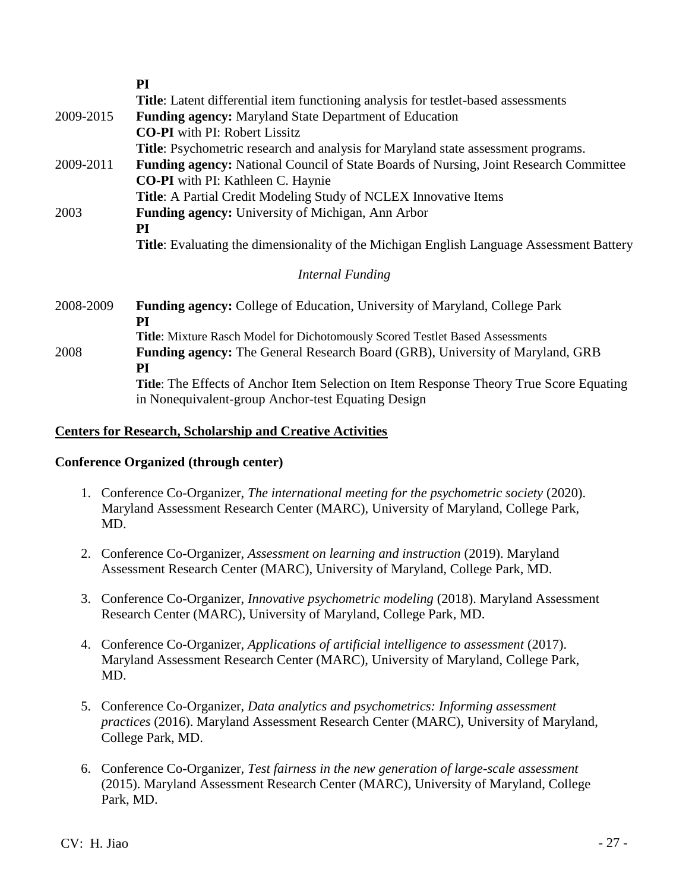|                                          | PI                                                                                                                                                   |  |  |
|------------------------------------------|------------------------------------------------------------------------------------------------------------------------------------------------------|--|--|
|                                          | Title: Latent differential item functioning analysis for testlet-based assessments                                                                   |  |  |
| 2009-2015                                | Funding agency: Maryland State Department of Education                                                                                               |  |  |
|                                          | <b>CO-PI</b> with PI: Robert Lissitz                                                                                                                 |  |  |
|                                          | Title: Psychometric research and analysis for Maryland state assessment programs.                                                                    |  |  |
| 2009-2011                                | <b>Funding agency:</b> National Council of State Boards of Nursing, Joint Research Committee                                                         |  |  |
| <b>CO-PI</b> with PI: Kathleen C. Haynie |                                                                                                                                                      |  |  |
|                                          | Title: A Partial Credit Modeling Study of NCLEX Innovative Items                                                                                     |  |  |
| 2003                                     | <b>Funding agency:</b> University of Michigan, Ann Arbor                                                                                             |  |  |
| PI                                       |                                                                                                                                                      |  |  |
|                                          | <b>Title:</b> Evaluating the dimensionality of the Michigan English Language Assessment Battery                                                      |  |  |
|                                          | Internal Funding                                                                                                                                     |  |  |
| 2008-2009                                | <b>Funding agency:</b> College of Education, University of Maryland, College Park                                                                    |  |  |
|                                          | PI                                                                                                                                                   |  |  |
|                                          | Title: Mixture Rasch Model for Dichotomously Scored Testlet Based Assessments                                                                        |  |  |
| 2008                                     | <b>Funding agency:</b> The General Research Board (GRB), University of Maryland, GRB                                                                 |  |  |
|                                          | PI                                                                                                                                                   |  |  |
|                                          | <b>Title:</b> The Effects of Anchor Item Selection on Item Response Theory True Score Equating<br>in Nonequivalent-group Anchor-test Equating Design |  |  |
|                                          |                                                                                                                                                      |  |  |

### **Centers for Research, Scholarship and Creative Activities**

#### **Conference Organized (through center)**

- 1. Conference Co-Organizer, *The international meeting for the psychometric society* (2020). Maryland Assessment Research Center (MARC), University of Maryland, College Park, MD.
- 2. Conference Co-Organizer, *Assessment on learning and instruction* (2019). Maryland Assessment Research Center (MARC), University of Maryland, College Park, MD.
- 3. Conference Co-Organizer, *Innovative psychometric modeling* (2018). Maryland Assessment Research Center (MARC), University of Maryland, College Park, MD.
- 4. Conference Co-Organizer, *Applications of artificial intelligence to assessment* (2017). Maryland Assessment Research Center (MARC), University of Maryland, College Park, MD.
- 5. Conference Co-Organizer, *Data analytics and psychometrics: Informing assessment practices* (2016). Maryland Assessment Research Center (MARC), University of Maryland, College Park, MD.
- 6. Conference Co-Organizer, *Test fairness in the new generation of large-scale assessment* (2015). Maryland Assessment Research Center (MARC), University of Maryland, College Park, MD.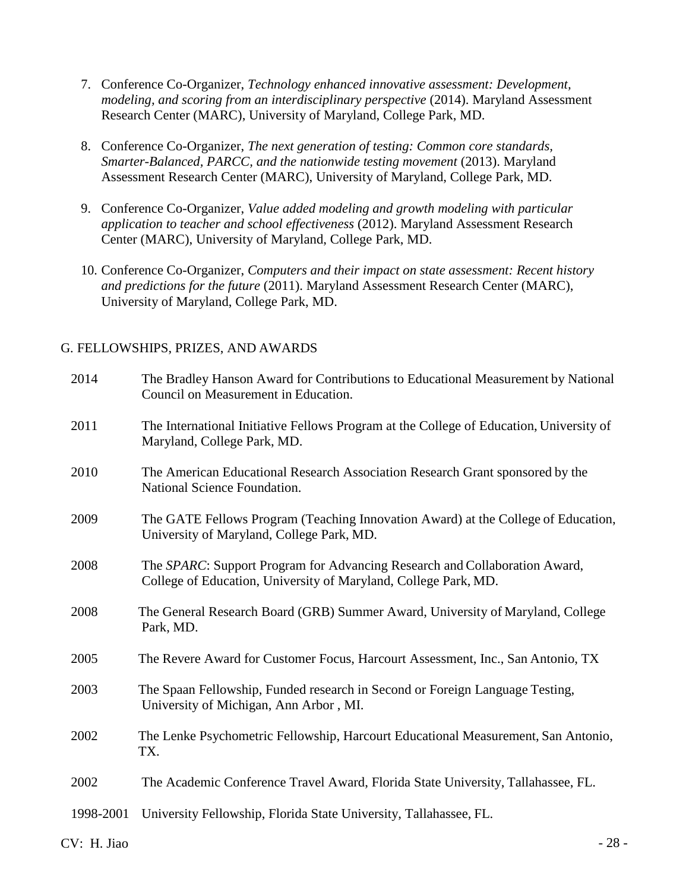- 7. Conference Co-Organizer, *Technology enhanced innovative assessment: Development, modeling, and scoring from an interdisciplinary perspective* (2014). Maryland Assessment Research Center (MARC), University of Maryland, College Park, MD.
- 8. Conference Co-Organizer, *The next generation of testing: Common core standards, Smarter-Balanced, PARCC, and the nationwide testing movement* (2013). Maryland Assessment Research Center (MARC), University of Maryland, College Park, MD.
- 9. Conference Co-Organizer, *Value added modeling and growth modeling with particular application to teacher and school effectiveness* (2012). Maryland Assessment Research Center (MARC), University of Maryland, College Park, MD.
- 10. Conference Co-Organizer, *Computers and their impact on state assessment: Recent history and predictions for the future* (2011). Maryland Assessment Research Center (MARC), University of Maryland, College Park, MD.

#### G. FELLOWSHIPS, PRIZES, AND AWARDS

| 2014      | The Bradley Hanson Award for Contributions to Educational Measurement by National<br>Council on Measurement in Education.                     |
|-----------|-----------------------------------------------------------------------------------------------------------------------------------------------|
| 2011      | The International Initiative Fellows Program at the College of Education, University of<br>Maryland, College Park, MD.                        |
| 2010      | The American Educational Research Association Research Grant sponsored by the<br>National Science Foundation.                                 |
| 2009      | The GATE Fellows Program (Teaching Innovation Award) at the College of Education,<br>University of Maryland, College Park, MD.                |
| 2008      | The SPARC: Support Program for Advancing Research and Collaboration Award,<br>College of Education, University of Maryland, College Park, MD. |
| 2008      | The General Research Board (GRB) Summer Award, University of Maryland, College<br>Park, MD.                                                   |
| 2005      | The Revere Award for Customer Focus, Harcourt Assessment, Inc., San Antonio, TX                                                               |
| 2003      | The Spaan Fellowship, Funded research in Second or Foreign Language Testing,<br>University of Michigan, Ann Arbor, MI.                        |
| 2002      | The Lenke Psychometric Fellowship, Harcourt Educational Measurement, San Antonio,<br>TX.                                                      |
| 2002      | The Academic Conference Travel Award, Florida State University, Tallahassee, FL.                                                              |
| 1998-2001 | University Fellowship, Florida State University, Tallahassee, FL.                                                                             |

 $CV: H. Jiao$  - 28 -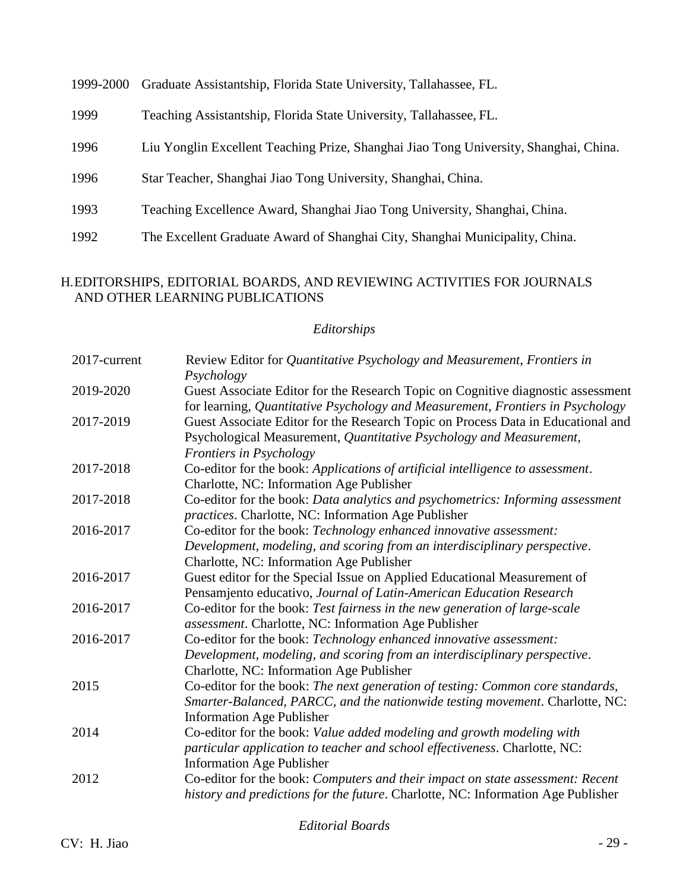| 1999-2000 | Graduate Assistantship, Florida State University, Tallahassee, FL.                    |
|-----------|---------------------------------------------------------------------------------------|
| 1999      | Teaching Assistantship, Florida State University, Tallahassee, FL.                    |
| 1996      | Liu Yonglin Excellent Teaching Prize, Shanghai Jiao Tong University, Shanghai, China. |
| 1996      | Star Teacher, Shanghai Jiao Tong University, Shanghai, China.                         |
| 1993      | Teaching Excellence Award, Shanghai Jiao Tong University, Shanghai, China.            |
| 1992      | The Excellent Graduate Award of Shanghai City, Shanghai Municipality, China.          |

### H.EDITORSHIPS, EDITORIAL BOARDS, AND REVIEWING ACTIVITIES FOR JOURNALS AND OTHER LEARNING PUBLICATIONS

### *Editorships*

| 2017-current | Review Editor for Quantitative Psychology and Measurement, Frontiers in<br>Psychology                                                                                                              |
|--------------|----------------------------------------------------------------------------------------------------------------------------------------------------------------------------------------------------|
| 2019-2020    | Guest Associate Editor for the Research Topic on Cognitive diagnostic assessment<br>for learning, Quantitative Psychology and Measurement, Frontiers in Psychology                                 |
| 2017-2019    | Guest Associate Editor for the Research Topic on Process Data in Educational and<br>Psychological Measurement, Quantitative Psychology and Measurement,<br>Frontiers in Psychology                 |
| 2017-2018    | Co-editor for the book: Applications of artificial intelligence to assessment.<br>Charlotte, NC: Information Age Publisher                                                                         |
| 2017-2018    | Co-editor for the book: Data analytics and psychometrics: Informing assessment<br>practices. Charlotte, NC: Information Age Publisher                                                              |
| 2016-2017    | Co-editor for the book: Technology enhanced innovative assessment:<br>Development, modeling, and scoring from an interdisciplinary perspective.<br>Charlotte, NC: Information Age Publisher        |
| 2016-2017    | Guest editor for the Special Issue on Applied Educational Measurement of<br>Pensamjento educativo, Journal of Latin-American Education Research                                                    |
| 2016-2017    | Co-editor for the book: Test fairness in the new generation of large-scale<br>assessment. Charlotte, NC: Information Age Publisher                                                                 |
| 2016-2017    | Co-editor for the book: Technology enhanced innovative assessment:<br>Development, modeling, and scoring from an interdisciplinary perspective.<br>Charlotte, NC: Information Age Publisher        |
| 2015         | Co-editor for the book: The next generation of testing: Common core standards,<br>Smarter-Balanced, PARCC, and the nationwide testing movement. Charlotte, NC:<br><b>Information Age Publisher</b> |
| 2014         | Co-editor for the book: Value added modeling and growth modeling with<br>particular application to teacher and school effectiveness. Charlotte, NC:<br><b>Information Age Publisher</b>            |
| 2012         | Co-editor for the book: Computers and their impact on state assessment: Recent<br>history and predictions for the future. Charlotte, NC: Information Age Publisher                                 |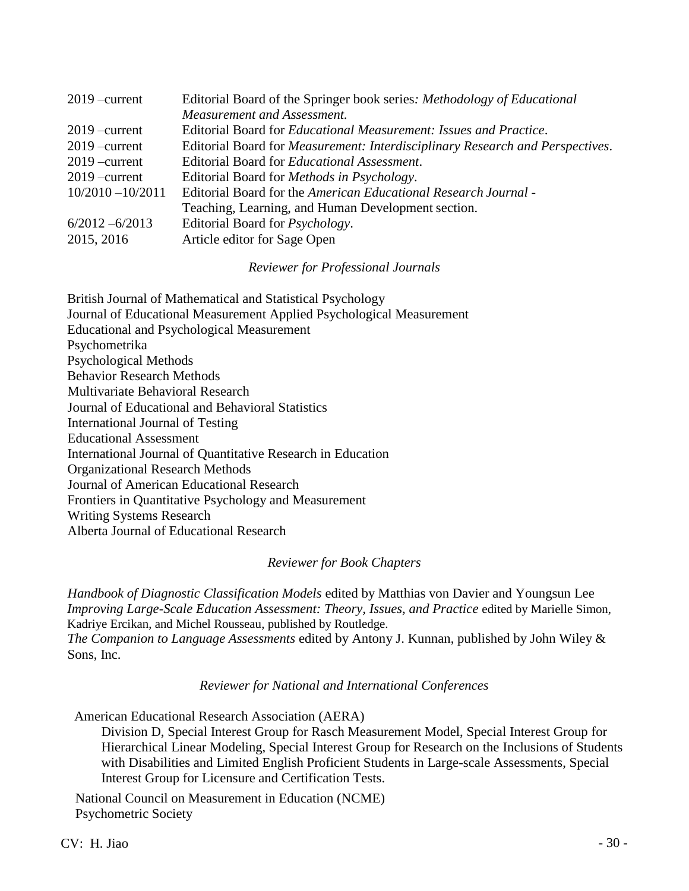| $2019$ -current     | Editorial Board of the Springer book series: Methodology of Educational               |  |
|---------------------|---------------------------------------------------------------------------------------|--|
|                     | Measurement and Assessment.                                                           |  |
| $2019$ -current     | Editorial Board for <i>Educational Measurement: Issues and Practice</i> .             |  |
| $2019$ -current     | Editorial Board for <i>Measurement: Interdisciplinary Research and Perspectives</i> . |  |
| $2019$ -current     | Editorial Board for <i>Educational Assessment</i> .                                   |  |
| $2019$ -current     | Editorial Board for <i>Methods in Psychology</i> .                                    |  |
| $10/2010 - 10/2011$ | Editorial Board for the American Educational Research Journal -                       |  |
|                     | Teaching, Learning, and Human Development section.                                    |  |
| $6/2012 - 6/2013$   | Editorial Board for <i>Psychology</i> .                                               |  |
| 2015, 2016          | Article editor for Sage Open                                                          |  |

#### *Reviewer for Professional Journals*

| British Journal of Mathematical and Statistical Psychology           |
|----------------------------------------------------------------------|
| Journal of Educational Measurement Applied Psychological Measurement |
| <b>Educational and Psychological Measurement</b>                     |
| Psychometrika                                                        |
| <b>Psychological Methods</b>                                         |
| <b>Behavior Research Methods</b>                                     |
| Multivariate Behavioral Research                                     |
| Journal of Educational and Behavioral Statistics                     |
| International Journal of Testing                                     |
| <b>Educational Assessment</b>                                        |
| International Journal of Quantitative Research in Education          |
| <b>Organizational Research Methods</b>                               |
| Journal of American Educational Research                             |
| Frontiers in Quantitative Psychology and Measurement                 |
| <b>Writing Systems Research</b>                                      |
| Alberta Journal of Educational Research                              |
|                                                                      |

#### *Reviewer for Book Chapters*

*Handbook of Diagnostic Classification Models* edited by Matthias von Davier and Youngsun Lee *Improving Large-Scale Education Assessment: Theory, Issues, and Practice* edited by Marielle Simon, Kadriye Ercikan, and Michel Rousseau, published by Routledge. *The Companion to Language Assessments* edited by Antony J. Kunnan, published by John Wiley & Sons, Inc.

*Reviewer for National and International Conferences*

American Educational Research Association (AERA)

Division D, Special Interest Group for Rasch Measurement Model, Special Interest Group for Hierarchical Linear Modeling, Special Interest Group for Research on the Inclusions of Students with Disabilities and Limited English Proficient Students in Large-scale Assessments, Special Interest Group for Licensure and Certification Tests.

National Council on Measurement in Education (NCME) Psychometric Society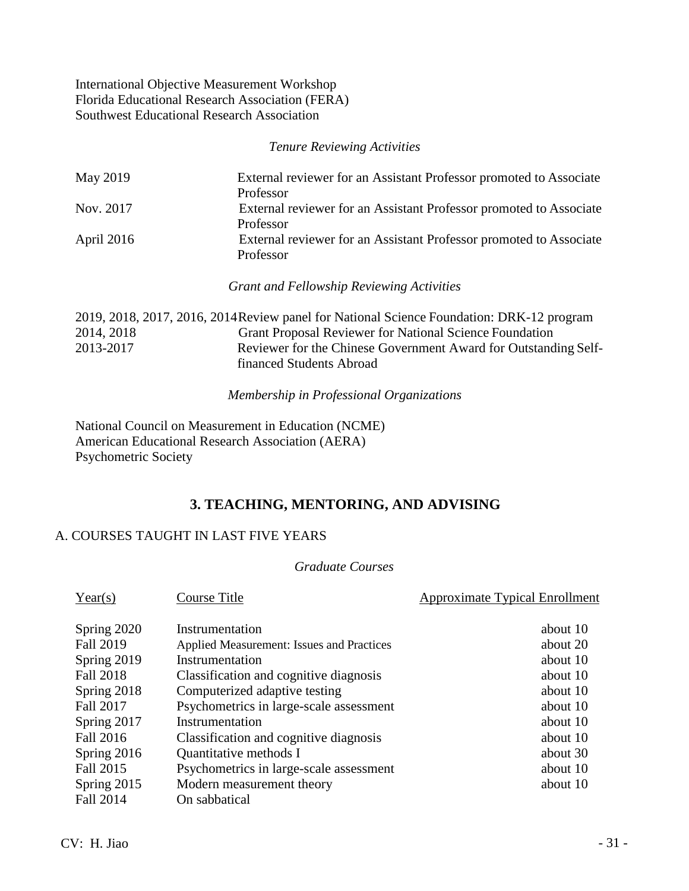International Objective Measurement Workshop Florida Educational Research Association (FERA) Southwest Educational Research Association

*Tenure Reviewing Activities*

| May 2019   | External reviewer for an Assistant Professor promoted to Associate |  |
|------------|--------------------------------------------------------------------|--|
|            | Professor                                                          |  |
| Nov. 2017  | External reviewer for an Assistant Professor promoted to Associate |  |
|            | Professor                                                          |  |
| April 2016 | External reviewer for an Assistant Professor promoted to Associate |  |
|            | Professor                                                          |  |

*Grant and Fellowship Reviewing Activities*

|            | 2019, 2018, 2017, 2016, 2014 Review panel for National Science Foundation: DRK-12 program |
|------------|-------------------------------------------------------------------------------------------|
| 2014, 2018 | <b>Grant Proposal Reviewer for National Science Foundation</b>                            |
| 2013-2017  | Reviewer for the Chinese Government Award for Outstanding Self-                           |
|            | financed Students Abroad                                                                  |

*Membership in Professional Organizations*

National Council on Measurement in Education (NCME) American Educational Research Association (AERA) Psychometric Society

### **3. TEACHING, MENTORING, AND ADVISING**

### A. COURSES TAUGHT IN LAST FIVE YEARS

### *Graduate Courses*

| Year(s)          | Course Title                              | <b>Approximate Typical Enrollment</b> |
|------------------|-------------------------------------------|---------------------------------------|
| Spring 2020      | Instrumentation                           | about 10                              |
| <b>Fall 2019</b> | Applied Measurement: Issues and Practices | about 20                              |
| Spring 2019      | Instrumentation                           | about 10                              |
| <b>Fall 2018</b> | Classification and cognitive diagnosis    | about 10                              |
| Spring 2018      | Computerized adaptive testing             | about 10                              |
| Fall 2017        | Psychometrics in large-scale assessment   | about 10                              |
| Spring 2017      | Instrumentation                           | about 10                              |
| Fall 2016        | Classification and cognitive diagnosis    | about 10                              |
| Spring 2016      | Quantitative methods I                    | about 30                              |
| Fall 2015        | Psychometrics in large-scale assessment   | about 10                              |
| Spring 2015      | Modern measurement theory                 | about 10                              |
| <b>Fall 2014</b> | On sabbatical                             |                                       |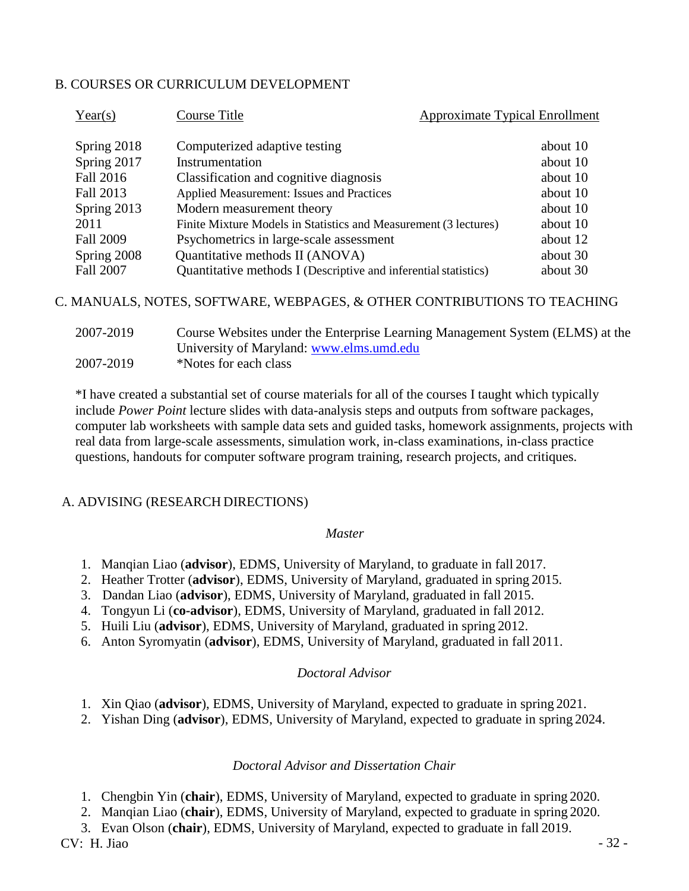### B. COURSES OR CURRICULUM DEVELOPMENT

| about 10 |
|----------|
| about 10 |
| about 10 |
| about 10 |
| about 10 |
| about 10 |
| about 12 |
| about 30 |
| about 30 |
|          |

C. MANUALS, NOTES, SOFTWARE, WEBPAGES, & OTHER CONTRIBUTIONS TO TEACHING

| 2007-2019 | Course Websites under the Enterprise Learning Management System (ELMS) at the |
|-----------|-------------------------------------------------------------------------------|
|           | University of Maryland: www.elms.umd.edu                                      |
| 2007-2019 | *Notes for each class                                                         |

\*I have created a substantial set of course materials for all of the courses I taught which typically include *Power Point* lecture slides with data-analysis steps and outputs from software packages, computer lab worksheets with sample data sets and guided tasks, homework assignments, projects with real data from large-scale assessments, simulation work, in-class examinations, in-class practice questions, handouts for computer software program training, research projects, and critiques.

### A. ADVISING (RESEARCH DIRECTIONS)

#### *Master*

- 1. Manqian Liao (**advisor**), EDMS, University of Maryland, to graduate in fall 2017.
- 2. Heather Trotter (**advisor**), EDMS, University of Maryland, graduated in spring 2015.
- 3. Dandan Liao (**advisor**), EDMS, University of Maryland, graduated in fall 2015.
- 4. Tongyun Li (**co-advisor**), EDMS, University of Maryland, graduated in fall 2012.
- 5. Huili Liu (**advisor**), EDMS, University of Maryland, graduated in spring 2012.
- 6. Anton Syromyatin (**advisor**), EDMS, University of Maryland, graduated in fall 2011.

#### *Doctoral Advisor*

- 1. Xin Qiao (**advisor**), EDMS, University of Maryland, expected to graduate in spring 2021.
- 2. Yishan Ding (**advisor**), EDMS, University of Maryland, expected to graduate in spring 2024.

#### *Doctoral Advisor and Dissertation Chair*

- 1. Chengbin Yin (**chair**), EDMS, University of Maryland, expected to graduate in spring 2020.
- 2. Manqian Liao (**chair**), EDMS, University of Maryland, expected to graduate in spring 2020.

3. Evan Olson (**chair**), EDMS, University of Maryland, expected to graduate in fall 2019.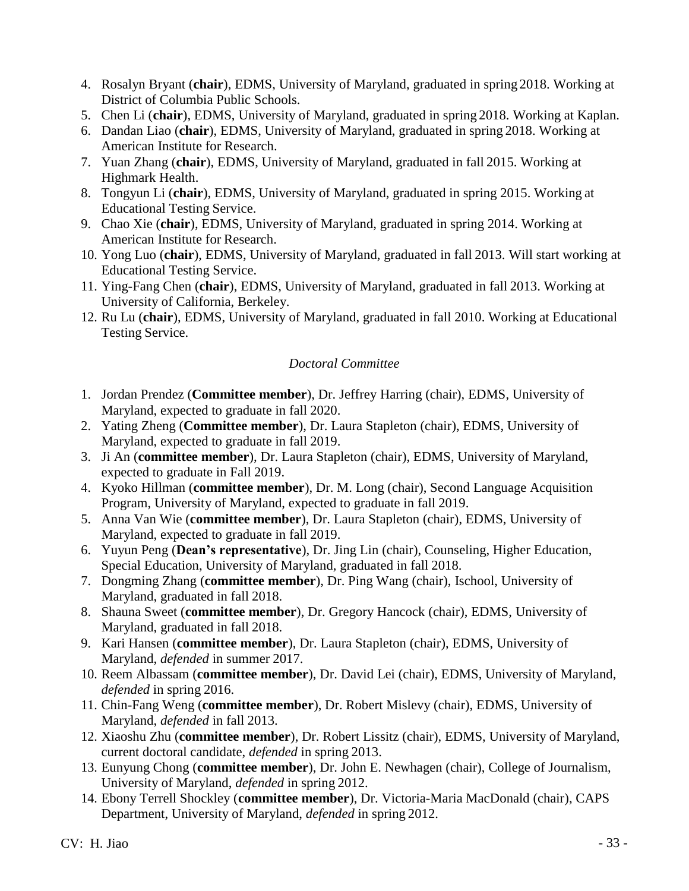- 4. Rosalyn Bryant (**chair**), EDMS, University of Maryland, graduated in spring 2018. Working at District of Columbia Public Schools.
- 5. Chen Li (**chair**), EDMS, University of Maryland, graduated in spring 2018. Working at Kaplan.
- 6. Dandan Liao (**chair**), EDMS, University of Maryland, graduated in spring 2018. Working at American Institute for Research.
- 7. Yuan Zhang (**chair**), EDMS, University of Maryland, graduated in fall 2015. Working at Highmark Health.
- 8. Tongyun Li (**chair**), EDMS, University of Maryland, graduated in spring 2015. Working at Educational Testing Service.
- 9. Chao Xie (**chair**), EDMS, University of Maryland, graduated in spring 2014. Working at American Institute for Research.
- 10. Yong Luo (**chair**), EDMS, University of Maryland, graduated in fall 2013. Will start working at Educational Testing Service.
- 11. Ying-Fang Chen (**chair**), EDMS, University of Maryland, graduated in fall 2013. Working at University of California, Berkeley.
- 12. Ru Lu (**chair**), EDMS, University of Maryland, graduated in fall 2010. Working at Educational Testing Service.

### *Doctoral Committee*

- 1. Jordan Prendez (**Committee member**), Dr. Jeffrey Harring (chair), EDMS, University of Maryland, expected to graduate in fall 2020.
- 2. Yating Zheng (**Committee member**), Dr. Laura Stapleton (chair), EDMS, University of Maryland, expected to graduate in fall 2019.
- 3. Ji An (**committee member**), Dr. Laura Stapleton (chair), EDMS, University of Maryland, expected to graduate in Fall 2019.
- 4. Kyoko Hillman (**committee member**), Dr. M. Long (chair), Second Language Acquisition Program, University of Maryland, expected to graduate in fall 2019.
- 5. Anna Van Wie (**committee member**), Dr. Laura Stapleton (chair), EDMS, University of Maryland, expected to graduate in fall 2019.
- 6. Yuyun Peng (**Dean's representative**), Dr. Jing Lin (chair), Counseling, Higher Education, Special Education, University of Maryland, graduated in fall 2018.
- 7. Dongming Zhang (**committee member**), Dr. Ping Wang (chair), Ischool, University of Maryland, graduated in fall 2018.
- 8. Shauna Sweet (**committee member**), Dr. Gregory Hancock (chair), EDMS, University of Maryland, graduated in fall 2018.
- 9. Kari Hansen (**committee member**), Dr. Laura Stapleton (chair), EDMS, University of Maryland, *defended* in summer 2017.
- 10. Reem Albassam (**committee member**), Dr. David Lei (chair), EDMS, University of Maryland, *defended* in spring 2016.
- 11. Chin-Fang Weng (**committee member**), Dr. Robert Mislevy (chair), EDMS, University of Maryland, *defended* in fall 2013.
- 12. Xiaoshu Zhu (**committee member**), Dr. Robert Lissitz (chair), EDMS, University of Maryland, current doctoral candidate, *defended* in spring 2013.
- 13. Eunyung Chong (**committee member**), Dr. John E. Newhagen (chair), College of Journalism, University of Maryland, *defended* in spring 2012.
- 14. Ebony Terrell Shockley (**committee member**), Dr. Victoria-Maria MacDonald (chair), CAPS Department, University of Maryland, *defended* in spring 2012.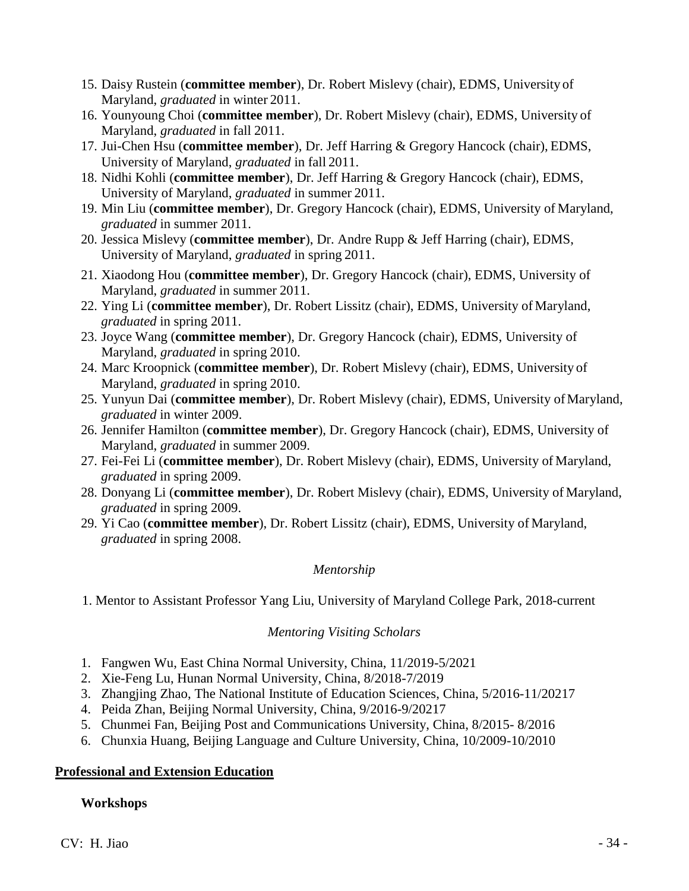- 15. Daisy Rustein (**committee member**), Dr. Robert Mislevy (chair), EDMS, University of Maryland, *graduated* in winter 2011.
- 16. Younyoung Choi (**committee member**), Dr. Robert Mislevy (chair), EDMS, University of Maryland, *graduated* in fall 2011.
- 17. Jui-Chen Hsu (**committee member**), Dr. Jeff Harring & Gregory Hancock (chair), EDMS, University of Maryland, *graduated* in fall 2011.
- 18. Nidhi Kohli (**committee member**), Dr. Jeff Harring & Gregory Hancock (chair), EDMS, University of Maryland, *graduated* in summer 2011.
- 19. Min Liu (**committee member**), Dr. Gregory Hancock (chair), EDMS, University of Maryland, *graduated* in summer 2011.
- 20. Jessica Mislevy (**committee member**), Dr. Andre Rupp & Jeff Harring (chair), EDMS, University of Maryland, *graduated* in spring 2011.
- 21. Xiaodong Hou (**committee member**), Dr. Gregory Hancock (chair), EDMS, University of Maryland, *graduated* in summer 2011.
- 22. Ying Li (**committee member**), Dr. Robert Lissitz (chair), EDMS, University of Maryland, *graduated* in spring 2011.
- 23. Joyce Wang (**committee member**), Dr. Gregory Hancock (chair), EDMS, University of Maryland, *graduated* in spring 2010.
- 24. Marc Kroopnick (**committee member**), Dr. Robert Mislevy (chair), EDMS, University of Maryland, *graduated* in spring 2010.
- 25. Yunyun Dai (**committee member**), Dr. Robert Mislevy (chair), EDMS, University ofMaryland, *graduated* in winter 2009.
- 26. Jennifer Hamilton (**committee member**), Dr. Gregory Hancock (chair), EDMS, University of Maryland, *graduated* in summer 2009.
- 27. Fei-Fei Li (**committee member**), Dr. Robert Mislevy (chair), EDMS, University of Maryland, *graduated* in spring 2009.
- 28. Donyang Li (**committee member**), Dr. Robert Mislevy (chair), EDMS, University of Maryland, *graduated* in spring 2009.
- 29. Yi Cao (**committee member**), Dr. Robert Lissitz (chair), EDMS, University of Maryland, *graduated* in spring 2008.

### *Mentorship*

1. Mentor to Assistant Professor Yang Liu, University of Maryland College Park, 2018-current

### *Mentoring Visiting Scholars*

- 1. Fangwen Wu, East China Normal University, China, 11/2019-5/2021
- 2. Xie-Feng Lu, Hunan Normal University, China, 8/2018-7/2019
- 3. Zhangjing Zhao, The National Institute of Education Sciences, China, 5/2016-11/20217
- 4. Peida Zhan, Beijing Normal University, China, 9/2016-9/20217
- 5. Chunmei Fan, Beijing Post and Communications University, China, 8/2015- 8/2016
- 6. Chunxia Huang, Beijing Language and Culture University, China, 10/2009-10/2010

### **Professional and Extension Education**

### **Workshops**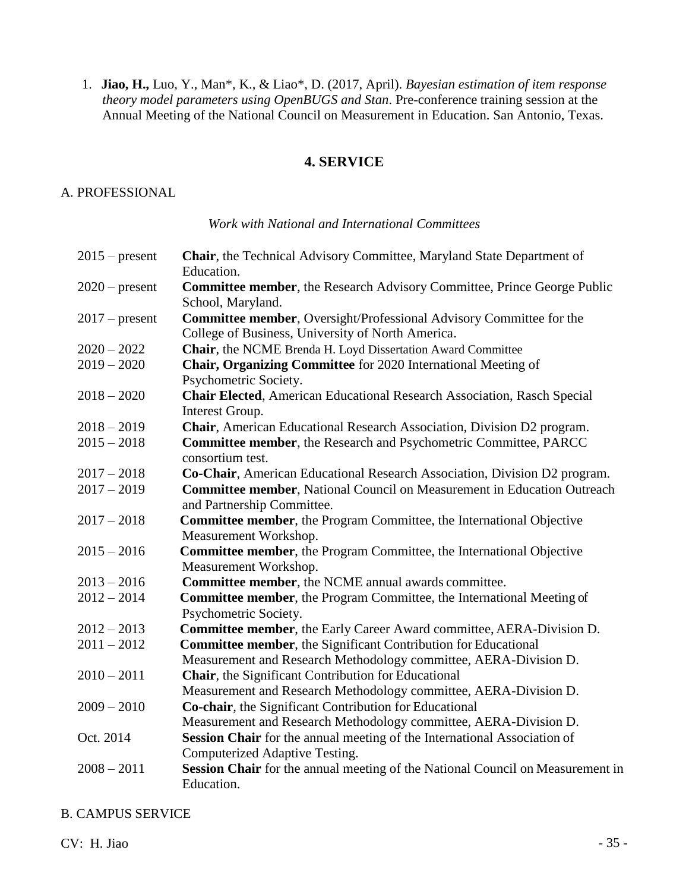1. **Jiao, H.,** Luo, Y., Man\*, K., & Liao\*, D. (2017, April). *Bayesian estimation of item response theory model parameters using OpenBUGS and Stan*. Pre-conference training session at the Annual Meeting of the National Council on Measurement in Education. San Antonio, Texas.

### **4. SERVICE**

#### A. PROFESSIONAL

#### *Work with National and International Committees*

| $2015$ – present | Chair, the Technical Advisory Committee, Maryland State Department of<br>Education.                                             |
|------------------|---------------------------------------------------------------------------------------------------------------------------------|
| $2020$ – present | <b>Committee member, the Research Advisory Committee, Prince George Public</b><br>School, Maryland.                             |
| $2017$ – present | <b>Committee member, Oversight/Professional Advisory Committee for the</b><br>College of Business, University of North America. |
| $2020 - 2022$    | Chair, the NCME Brenda H. Loyd Dissertation Award Committee                                                                     |
| $2019 - 2020$    | Chair, Organizing Committee for 2020 International Meeting of                                                                   |
|                  | Psychometric Society.                                                                                                           |
| $2018 - 2020$    | <b>Chair Elected</b> , American Educational Research Association, Rasch Special<br>Interest Group.                              |
| $2018 - 2019$    | Chair, American Educational Research Association, Division D2 program.                                                          |
| $2015 - 2018$    | Committee member, the Research and Psychometric Committee, PARCC<br>consortium test.                                            |
| $2017 - 2018$    | Co-Chair, American Educational Research Association, Division D2 program.                                                       |
| $2017 - 2019$    | Committee member, National Council on Measurement in Education Outreach<br>and Partnership Committee.                           |
| $2017 - 2018$    | Committee member, the Program Committee, the International Objective<br>Measurement Workshop.                                   |
| $2015 - 2016$    | Committee member, the Program Committee, the International Objective<br>Measurement Workshop.                                   |
| $2013 - 2016$    | Committee member, the NCME annual awards committee.                                                                             |
| $2012 - 2014$    | <b>Committee member, the Program Committee, the International Meeting of</b><br>Psychometric Society.                           |
| $2012 - 2013$    | Committee member, the Early Career Award committee, AERA-Division D.                                                            |
| $2011 - 2012$    | Committee member, the Significant Contribution for Educational                                                                  |
|                  | Measurement and Research Methodology committee, AERA-Division D.                                                                |
| $2010 - 2011$    | Chair, the Significant Contribution for Educational                                                                             |
|                  | Measurement and Research Methodology committee, AERA-Division D.                                                                |
| $2009 - 2010$    | Co-chair, the Significant Contribution for Educational                                                                          |
|                  | Measurement and Research Methodology committee, AERA-Division D.                                                                |
| Oct. 2014        | Session Chair for the annual meeting of the International Association of                                                        |
|                  | Computerized Adaptive Testing.                                                                                                  |
| $2008 - 2011$    | Session Chair for the annual meeting of the National Council on Measurement in<br>Education.                                    |

#### B. CAMPUS SERVICE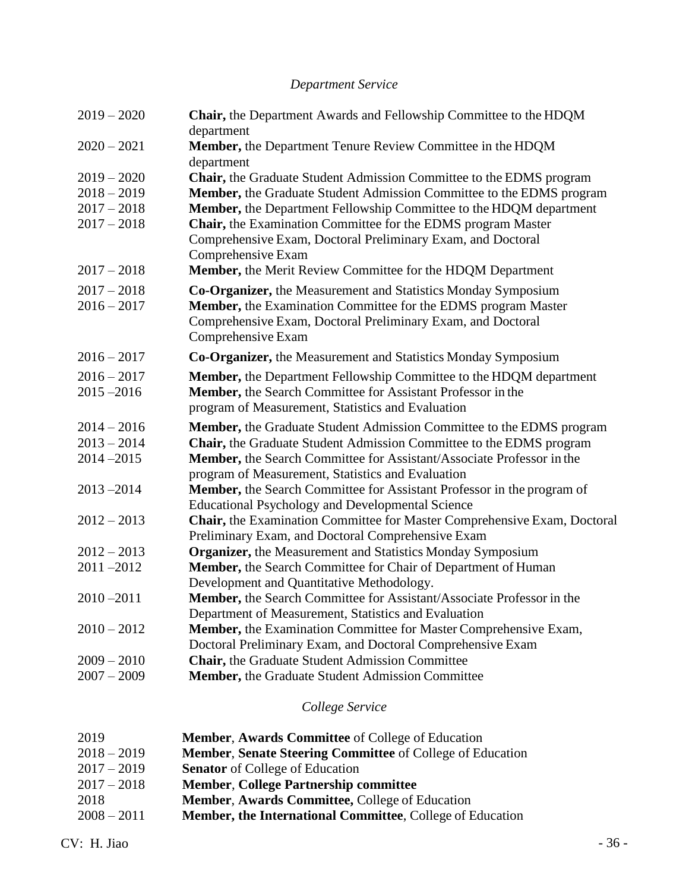# *Department Service*

| $2019 - 2020$                  | Chair, the Department Awards and Fellowship Committee to the HDQM<br>department                                                    |
|--------------------------------|------------------------------------------------------------------------------------------------------------------------------------|
| $2020 - 2021$                  | Member, the Department Tenure Review Committee in the HDQM<br>department                                                           |
| $2019 - 2020$                  | Chair, the Graduate Student Admission Committee to the EDMS program                                                                |
| $2018 - 2019$                  | Member, the Graduate Student Admission Committee to the EDMS program                                                               |
| $2017 - 2018$                  | Member, the Department Fellowship Committee to the HDQM department                                                                 |
| $2017 - 2018$                  | Chair, the Examination Committee for the EDMS program Master                                                                       |
|                                | Comprehensive Exam, Doctoral Preliminary Exam, and Doctoral                                                                        |
|                                | Comprehensive Exam                                                                                                                 |
| $2017 - 2018$                  | <b>Member, the Merit Review Committee for the HDQM Department</b>                                                                  |
| $2017 - 2018$                  | Co-Organizer, the Measurement and Statistics Monday Symposium                                                                      |
| $2016 - 2017$                  | Member, the Examination Committee for the EDMS program Master                                                                      |
|                                | Comprehensive Exam, Doctoral Preliminary Exam, and Doctoral                                                                        |
|                                | Comprehensive Exam                                                                                                                 |
| $2016 - 2017$                  | <b>Co-Organizer, the Measurement and Statistics Monday Symposium</b>                                                               |
| $2016 - 2017$                  | Member, the Department Fellowship Committee to the HDQM department                                                                 |
| $2015 - 2016$                  | Member, the Search Committee for Assistant Professor in the                                                                        |
|                                | program of Measurement, Statistics and Evaluation                                                                                  |
| $2014 - 2016$                  | Member, the Graduate Student Admission Committee to the EDMS program                                                               |
| $2013 - 2014$                  | Chair, the Graduate Student Admission Committee to the EDMS program                                                                |
| $2014 - 2015$                  | Member, the Search Committee for Assistant/Associate Professor in the                                                              |
|                                | program of Measurement, Statistics and Evaluation                                                                                  |
| $2013 - 2014$                  | <b>Member,</b> the Search Committee for Assistant Professor in the program of                                                      |
|                                | <b>Educational Psychology and Developmental Science</b>                                                                            |
| $2012 - 2013$                  | Chair, the Examination Committee for Master Comprehensive Exam, Doctoral                                                           |
|                                | Preliminary Exam, and Doctoral Comprehensive Exam                                                                                  |
| $2012 - 2013$<br>$2011 - 2012$ | <b>Organizer, the Measurement and Statistics Monday Symposium</b><br>Member, the Search Committee for Chair of Department of Human |
|                                | Development and Quantitative Methodology.                                                                                          |
| $2010 - 2011$                  | Member, the Search Committee for Assistant/Associate Professor in the                                                              |
|                                | Department of Measurement, Statistics and Evaluation                                                                               |
| $2010 - 2012$                  | Member, the Examination Committee for Master Comprehensive Exam,                                                                   |
|                                | Doctoral Preliminary Exam, and Doctoral Comprehensive Exam                                                                         |
| $2009 - 2010$                  | <b>Chair, the Graduate Student Admission Committee</b>                                                                             |
| $2007 - 2009$                  | Member, the Graduate Student Admission Committee                                                                                   |
|                                |                                                                                                                                    |

# *College Service*

| 2019          | <b>Member, Awards Committee</b> of College of Education          |
|---------------|------------------------------------------------------------------|
| $2018 - 2019$ | <b>Member, Senate Steering Committee of College of Education</b> |
| $2017 - 2019$ | <b>Senator</b> of College of Education                           |
| $2017 - 2018$ | <b>Member, College Partnership committee</b>                     |
| 2018          | Member, Awards Committee, College of Education                   |
| $2008 - 2011$ | <b>Member, the International Committee, College of Education</b> |
|               |                                                                  |